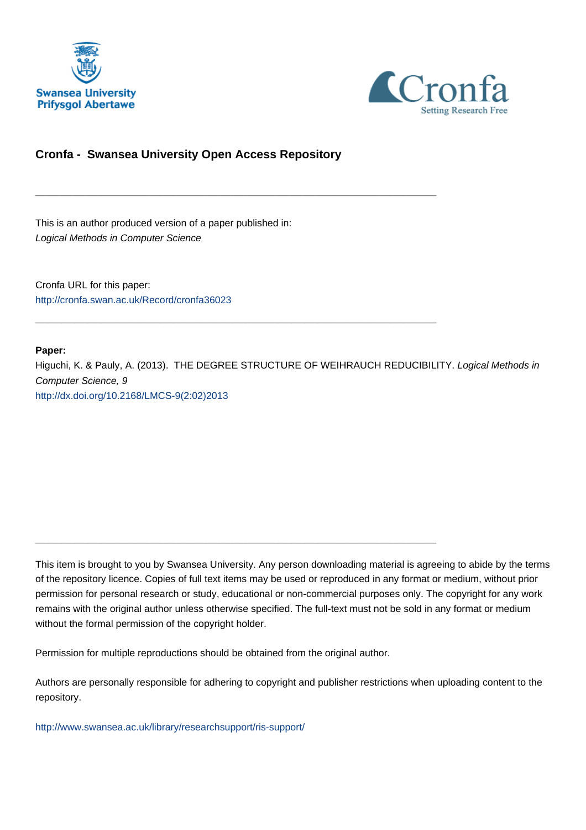



# **Cronfa - Swansea University Open Access Repository**

\_\_\_\_\_\_\_\_\_\_\_\_\_\_\_\_\_\_\_\_\_\_\_\_\_\_\_\_\_\_\_\_\_\_\_\_\_\_\_\_\_\_\_\_\_\_\_\_\_\_\_\_\_\_\_\_\_\_\_\_\_

\_\_\_\_\_\_\_\_\_\_\_\_\_\_\_\_\_\_\_\_\_\_\_\_\_\_\_\_\_\_\_\_\_\_\_\_\_\_\_\_\_\_\_\_\_\_\_\_\_\_\_\_\_\_\_\_\_\_\_\_\_

\_\_\_\_\_\_\_\_\_\_\_\_\_\_\_\_\_\_\_\_\_\_\_\_\_\_\_\_\_\_\_\_\_\_\_\_\_\_\_\_\_\_\_\_\_\_\_\_\_\_\_\_\_\_\_\_\_\_\_\_\_

This is an author produced version of a paper published in: Logical Methods in Computer Science

Cronfa URL for this paper: <http://cronfa.swan.ac.uk/Record/cronfa36023>

# **Paper:**

Higuchi, K. & Pauly, A. (2013). THE DEGREE STRUCTURE OF WEIHRAUCH REDUCIBILITY. Logical Methods in Computer Science, 9 [http://dx.doi.org/10.2168/LMCS-9\(2:02\)2013](http://dx.doi.org/10.2168/LMCS-9(2:02)2013)

This item is brought to you by Swansea University. Any person downloading material is agreeing to abide by the terms of the repository licence. Copies of full text items may be used or reproduced in any format or medium, without prior permission for personal research or study, educational or non-commercial purposes only. The copyright for any work remains with the original author unless otherwise specified. The full-text must not be sold in any format or medium without the formal permission of the copyright holder.

Permission for multiple reproductions should be obtained from the original author.

Authors are personally responsible for adhering to copyright and publisher restrictions when uploading content to the repository.

[http://www.swansea.ac.uk/library/researchsupport/ris-support/](http://www.swansea.ac.uk/library/researchsupport/ris-support/ )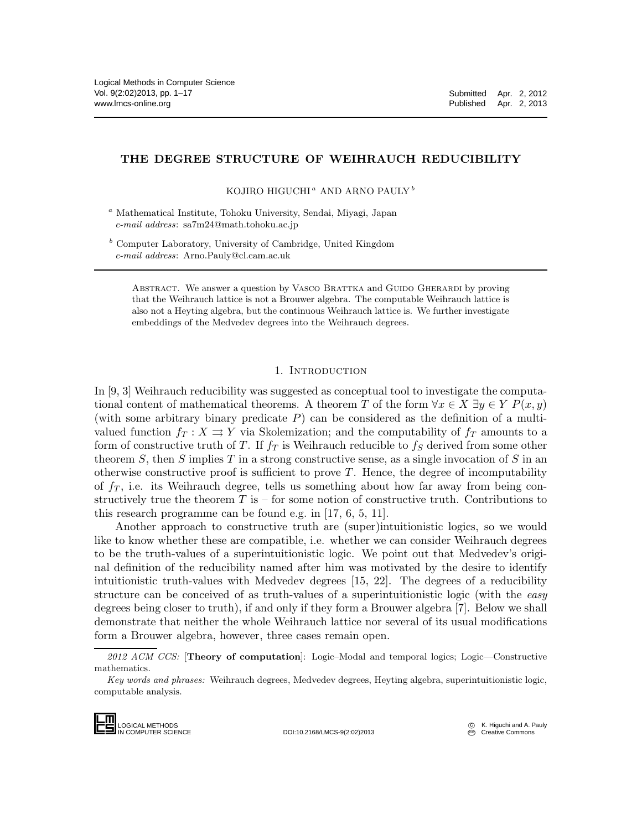## THE DEGREE STRUCTURE OF WEIHRAUCH REDUCIBILITY

KOJIRO HIGUCHI $^a$  AND ARNO PAULY $^b$ 

<sup>a</sup> Mathematical Institute, Tohoku University, Sendai, Miyagi, Japan e-mail address: sa7m24@math.tohoku.ac.jp

 $b$  Computer Laboratory, University of Cambridge, United Kingdom e-mail address: Arno.Pauly@cl.cam.ac.uk

ABSTRACT. We answer a question by VASCO BRATTKA and GUIDO GHERARDI by proving that the Weihrauch lattice is not a Brouwer algebra. The computable Weihrauch lattice is also not a Heyting algebra, but the continuous Weihrauch lattice is. We further investigate embeddings of the Medvedev degrees into the Weihrauch degrees.

## 1. INTRODUCTION

In [9, 3] Weihrauch reducibility was suggested as conceptual tool to investigate the computational content of mathematical theorems. A theorem T of the form  $\forall x \in X \exists y \in Y \; P(x, y)$ (with some arbitrary binary predicate  $P$ ) can be considered as the definition of a multivalued function  $f_T : X \rightrightarrows Y$  via Skolemization; and the computability of  $f_T$  amounts to a form of constructive truth of T. If  $f_T$  is Weihrauch reducible to  $f_S$  derived from some other theorem S, then S implies T in a strong constructive sense, as a single invocation of S in an otherwise constructive proof is sufficient to prove  $T$ . Hence, the degree of incomputability of  $f<sub>T</sub>$ , i.e. its Weihrauch degree, tells us something about how far away from being constructively true the theorem  $T$  is – for some notion of constructive truth. Contributions to this research programme can be found e.g. in [17, 6, 5, 11].

Another approach to constructive truth are (super)intuitionistic logics, so we would like to know whether these are compatible, i.e. whether we can consider Weihrauch degrees to be the truth-values of a superintuitionistic logic. We point out that Medvedev's original definition of the reducibility named after him was motivated by the desire to identify intuitionistic truth-values with Medvedev degrees [15, 22]. The degrees of a reducibility structure can be conceived of as truth-values of a superintuitionistic logic (with the easy degrees being closer to truth), if and only if they form a Brouwer algebra [7]. Below we shall demonstrate that neither the whole Weihrauch lattice nor several of its usual modifications form a Brouwer algebra, however, three cases remain open.

Key words and phrases: Weihrauch degrees, Medvedev degrees, Heyting algebra, superintuitionistic logic, computable analysis.



IN COMPUTER SCIENCE DOI:10.2168/LMCS-9(2:02)2013

<sup>2012</sup> ACM CCS: [Theory of computation]: Logic–Modal and temporal logics; Logic–Constructive mathematics.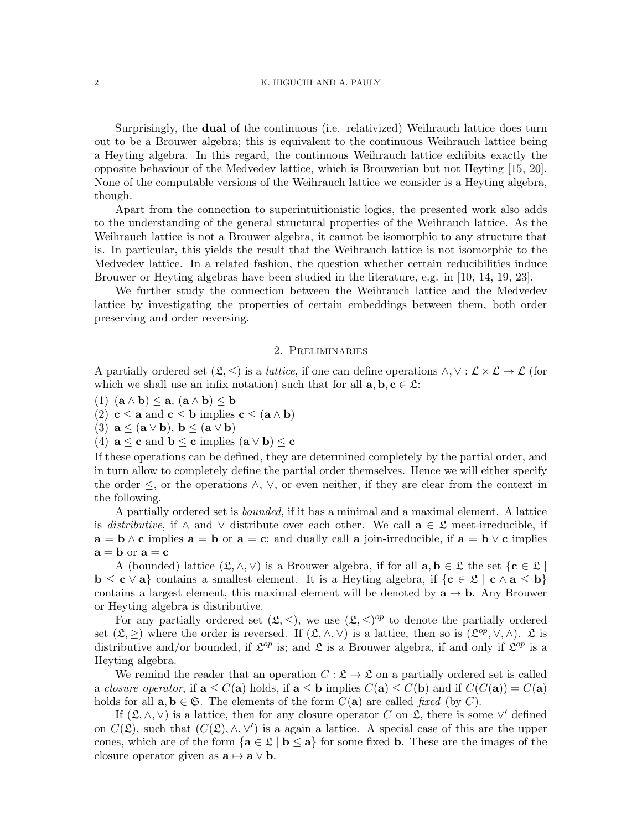Surprisingly, the dual of the continuous (i.e. relativized) Weihrauch lattice does turn out to be a Brouwer algebra; this is equivalent to the continuous Weihrauch lattice being a Heyting algebra. In this regard, the continuous Weihrauch lattice exhibits exactly the opposite behaviour of the Medvedev lattice, which is Brouwerian but not Heyting [15, 20]. None of the computable versions of the Weihrauch lattice we consider is a Heyting algebra, though.

Apart from the connection to superintuitionistic logics, the presented work also adds to the understanding of the general structural properties of the Weihrauch lattice. As the Weihrauch lattice is not a Brouwer algebra, it cannot be isomorphic to any structure that is. In particular, this yields the result that the Weihrauch lattice is not isomorphic to the Medvedev lattice. In a related fashion, the question whether certain reducibilities induce Brouwer or Heyting algebras have been studied in the literature, e.g. in [10, 14, 19, 23].

We further study the connection between the Weihrauch lattice and the Medvedev lattice by investigating the properties of certain embeddings between them, both order preserving and order reversing.

#### 2. Preliminaries

A partially ordered set  $(\mathfrak{L}, \leq)$  is a *lattice*, if one can define operations  $\wedge, \vee : \mathcal{L} \times \mathcal{L} \to \mathcal{L}$  (for which we shall use an infix notation) such that for all  $a, b, c \in \mathcal{L}$ :

(1)  $(a \wedge b) \leq a$ ,  $(a \wedge b) \leq b$ 

(2)  $c \le a$  and  $c \le b$  implies  $c \le (a \wedge b)$ 

(3)  $\mathbf{a} \leq (\mathbf{a} \vee \mathbf{b}), \mathbf{b} \leq (\mathbf{a} \vee \mathbf{b})$ 

(4)  $\mathbf{a} \leq \mathbf{c}$  and  $\mathbf{b} \leq \mathbf{c}$  implies  $(\mathbf{a} \vee \mathbf{b}) \leq \mathbf{c}$ 

If these operations can be defined, they are determined completely by the partial order, and in turn allow to completely define the partial order themselves. Hence we will either specify the order  $\leq$ , or the operations  $\wedge$ ,  $\vee$ , or even neither, if they are clear from the context in the following.

A partially ordered set is bounded, if it has a minimal and a maximal element. A lattice is distributive, if  $\wedge$  and  $\vee$  distribute over each other. We call  $\mathbf{a} \in \mathfrak{L}$  meet-irreducible, if  $\mathbf{a} = \mathbf{b} \wedge \mathbf{c}$  implies  $\mathbf{a} = \mathbf{b}$  or  $\mathbf{a} = \mathbf{c}$ ; and dually call a join-irreducible, if  $\mathbf{a} = \mathbf{b} \vee \mathbf{c}$  implies  $a = b$  or  $a = c$ 

A (bounded) lattice  $(\mathfrak{L}, \wedge, \vee)$  is a Brouwer algebra, if for all  $a, b \in \mathfrak{L}$  the set  $\{c \in \mathfrak{L}\}\$  $\mathbf{b} \leq \mathbf{c} \vee \mathbf{a}$  contains a smallest element. It is a Heyting algebra, if  $\{\mathbf{c} \in \mathcal{L} \mid \mathbf{c} \wedge \mathbf{a} \leq \mathbf{b}\}\$ contains a largest element, this maximal element will be denoted by  $a \rightarrow b$ . Any Brouwer or Heyting algebra is distributive.

For any partially ordered set  $(\mathfrak{L}, \leq)$ , we use  $(\mathfrak{L}, \leq)^{op}$  to denote the partially ordered set  $(\mathfrak{L}, \geq)$  where the order is reversed. If  $(\mathfrak{L}, \wedge, \vee)$  is a lattice, then so is  $(\mathfrak{L}^{op}, \vee, \wedge)$ .  $\mathfrak{L}$  is distributive and/or bounded, if  $\mathfrak{L}^{op}$  is; and  $\mathfrak{L}$  is a Brouwer algebra, if and only if  $\mathfrak{L}^{op}$  is a Heyting algebra.

We remind the reader that an operation  $C: \mathfrak{L} \to \mathfrak{L}$  on a partially ordered set is called a closure operator, if  $\mathbf{a} \leq C(\mathbf{a})$  holds, if  $\mathbf{a} \leq \mathbf{b}$  implies  $C(\mathbf{a}) \leq C(\mathbf{b})$  and if  $C(C(\mathbf{a})) = C(\mathbf{a})$ holds for all  $a, b \in \mathfrak{S}$ . The elements of the form  $C(a)$  are called fixed (by C).

If  $(\mathfrak{L}, \wedge, \vee)$  is a lattice, then for any closure operator C on  $\mathfrak{L}$ , there is some  $\vee'$  defined on  $C(\mathfrak{L})$ , such that  $(C(\mathfrak{L}), \wedge, \vee')$  is a again a lattice. A special case of this are the upper cones, which are of the form  $\{a \in \mathcal{L} \mid b \leq a\}$  for some fixed b. These are the images of the closure operator given as  $\mathbf{a} \mapsto \mathbf{a} \vee \mathbf{b}$ .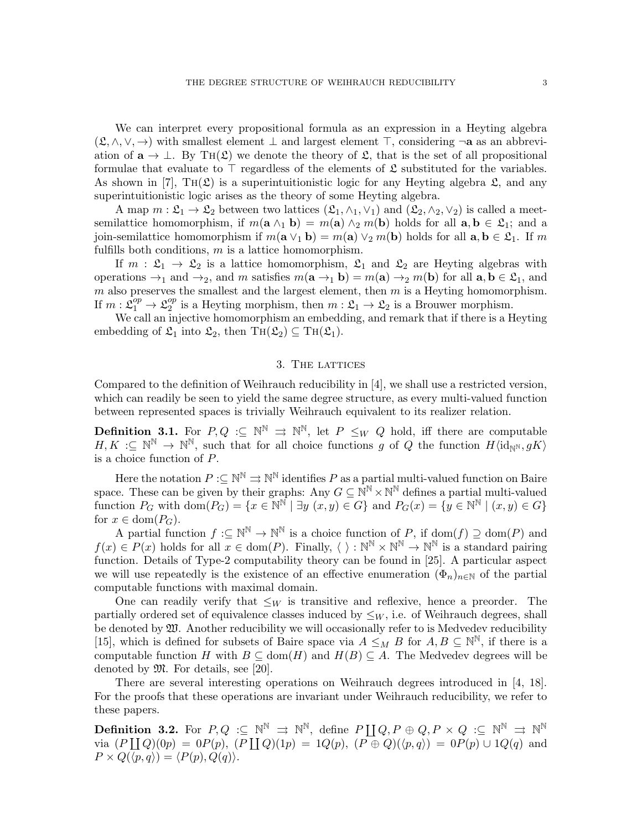We can interpret every propositional formula as an expression in a Heyting algebra  $(\mathfrak{L}, \wedge, \vee, \rightarrow)$  with smallest element  $\perp$  and largest element  $\top$ , considering  $\neg$ **a** as an abbreviation of  $\mathbf{a} \to \bot$ . By TH( $\mathfrak{L}$ ) we denote the theory of  $\mathfrak{L}$ , that is the set of all propositional formulae that evaluate to  $\top$  regardless of the elements of  $\mathfrak L$  substituted for the variables. As shown in [7],  $TH(\mathfrak{L})$  is a superintuitionistic logic for any Heyting algebra  $\mathfrak{L}$ , and any superintuitionistic logic arises as the theory of some Heyting algebra.

A map  $m:\mathfrak{L}_1\to\mathfrak{L}_2$  between two lattices  $(\mathfrak{L}_1,\wedge_1,\vee_1)$  and  $(\mathfrak{L}_2,\wedge_2,\vee_2)$  is called a meetsemilattice homomorphism, if  $m(\mathbf{a} \wedge_1 \mathbf{b}) = m(\mathbf{a}) \wedge_2 m(\mathbf{b})$  holds for all  $\mathbf{a}, \mathbf{b} \in \mathfrak{L}_1$ ; and a join-semilattice homomorphism if  $m(\mathbf{a} \vee_1 \mathbf{b}) = m(\mathbf{a}) \vee_2 m(\mathbf{b})$  holds for all  $\mathbf{a}, \mathbf{b} \in \mathfrak{L}_1$ . If m fulfills both conditions,  $m$  is a lattice homomorphism.

If  $m : \mathfrak{L}_1 \to \mathfrak{L}_2$  is a lattice homomorphism,  $\mathfrak{L}_1$  and  $\mathfrak{L}_2$  are Heyting algebras with operations  $\rightarrow_1$  and  $\rightarrow_2$ , and m satisfies  $m(\mathbf{a} \rightarrow_1 \mathbf{b}) = m(\mathbf{a}) \rightarrow_2 m(\mathbf{b})$  for all  $\mathbf{a}, \mathbf{b} \in \mathfrak{L}_1$ , and  $m$  also preserves the smallest and the largest element, then  $m$  is a Heyting homomorphism. If  $m: \mathfrak{L}^{op}_1 \to \mathfrak{L}^{op}_2$  $_2^{op}$  is a Heyting morphism, then  $m: \mathfrak{L}_1 \to \mathfrak{L}_2$  is a Brouwer morphism.

We call an injective homomorphism an embedding, and remark that if there is a Heyting embedding of  $\mathfrak{L}_1$  into  $\mathfrak{L}_2$ , then TH $(\mathfrak{L}_2) \subseteq TH(\mathfrak{L}_1)$ .

#### 3. The lattices

Compared to the definition of Weihrauch reducibility in [4], we shall use a restricted version, which can readily be seen to yield the same degree structure, as every multi-valued function between represented spaces is trivially Weihrauch equivalent to its realizer relation.

**Definition 3.1.** For  $P,Q \leq \mathbb{N}^{\mathbb{N}} \Rightarrow \mathbb{N}^{\mathbb{N}}$ , let  $P \leq_W Q$  hold, iff there are computable  $H, K \subset \mathbb{N}^{\mathbb{N}} \to \mathbb{N}^{\mathbb{N}}$ , such that for all choice functions g of Q the function  $H\langle id_{\mathbb{N}^{\mathbb{N}}}, gK \rangle$ is a choice function of P.

Here the notation  $P:\subseteq{\mathbb{N}}^{\mathbb{N}}\rightrightarrows{\mathbb{N}}^{\mathbb{N}}$  identifies  $P$  as a partial multi-valued function on Baire space. These can be given by their graphs: Any  $G \subseteq \mathbb{N}^{\mathbb{N}} \times \mathbb{N}^{\mathbb{N}}$  defines a partial multi-valued function  $P_G$  with  $dom(P_G) = \{x \in \mathbb{N}^{\mathbb{N}} \mid \exists y \ (x, y) \in G\}$  and  $P_G(x) = \{y \in \mathbb{N}^{\mathbb{N}} \mid (x, y) \in G\}$ for  $x \in \text{dom}(P_G)$ .

A partial function  $f: \subseteq \mathbb{N}^{\mathbb{N}} \to \mathbb{N}^{\mathbb{N}}$  is a choice function of P, if  $\text{dom}(f) \supseteq \text{dom}(P)$  and  $f(x) \in P(x)$  holds for all  $x \in \text{dom}(P)$ . Finally,  $\langle \ \rangle : \mathbb{N}^{\mathbb{N}} \times \mathbb{N}^{\mathbb{N}} \to \mathbb{N}^{\mathbb{N}}$  is a standard pairing function. Details of Type-2 computability theory can be found in [25]. A particular aspect we will use repeatedly is the existence of an effective enumeration  $(\Phi_n)_{n\in\mathbb{N}}$  of the partial computable functions with maximal domain.

One can readily verify that  $\leq_W$  is transitive and reflexive, hence a preorder. The partially ordered set of equivalence classes induced by  $\leq_W$ , i.e. of Weihrauch degrees, shall be denoted by  $\mathfrak W$ . Another reducibility we will occasionally refer to is Medvedev reducibility [15], which is defined for subsets of Baire space via  $A \leq_M B$  for  $A, B \subseteq \mathbb{N}^{\mathbb{N}}$ , if there is a computable function H with  $B \subseteq \text{dom}(H)$  and  $H(B) \subseteq A$ . The Medvedev degrees will be denoted by M. For details, see [20].

There are several interesting operations on Weihrauch degrees introduced in [4, 18]. For the proofs that these operations are invariant under Weihrauch reducibility, we refer to these papers.

**Definition 3.2.** For  $P,Q$  : $\subseteq$   $\mathbb{N}^{\mathbb{N}}$   $\Rightarrow$   $\mathbb{N}^{\mathbb{N}},$  define  $P\coprod Q,P\oplus Q,P\times Q$  : $\subseteq$   $\mathbb{N}^{\mathbb{N}}$   $\Rightarrow$   $\mathbb{N}^{\mathbb{N}}$ via  $(P \coprod Q)(0p) = 0P(p), (P \coprod Q)(1p) = 1Q(p), (P \oplus Q)(\langle p, q \rangle) = 0P(p) \cup 1Q(q)$  and  $P \times Q(\langle p, q \rangle) = \langle P(p), Q(q) \rangle.$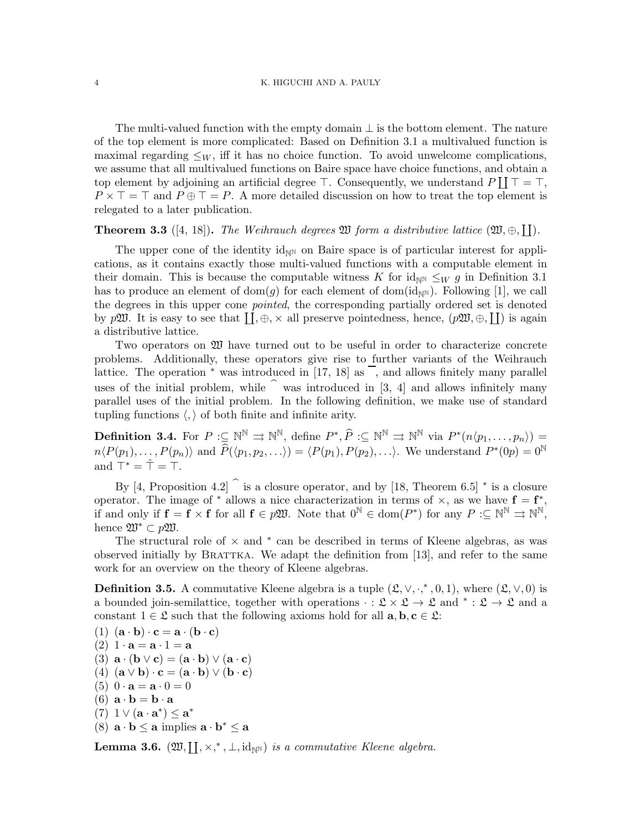The multi-valued function with the empty domain  $\perp$  is the bottom element. The nature of the top element is more complicated: Based on Definition 3.1 a multivalued function is maximal regarding  $\leq_W$ , iff it has no choice function. To avoid unwelcome complications, we assume that all multivalued functions on Baire space have choice functions, and obtain a top element by adjoining an artificial degree  $\top$ . Consequently, we understand  $P \coprod \top = \top$ ,  $P \times \top = \top$  and  $P \oplus \top = P$ . A more detailed discussion on how to treat the top element is relegated to a later publication.

**Theorem 3.3** ([4, 18]). The Weihrauch degrees  $\mathfrak{W}$  form a distributive lattice  $(\mathfrak{W}, \oplus, \Pi)$ .

The upper cone of the identity  $id_{\mathbb{N}^N}$  on Baire space is of particular interest for applications, as it contains exactly those multi-valued functions with a computable element in their domain. This is because the computable witness K for  $\mathrm{id}_{\mathbb{N}} \leq_W g$  in Definition 3.1 has to produce an element of dom(g) for each element of dom(id<sub>NN</sub>). Following [1], we call the degrees in this upper cone pointed, the corresponding partially ordered set is denoted by  $p\mathfrak{W}$ . It is easy to see that  $\prod, \oplus, \times$  all preserve pointedness, hence,  $(p\mathfrak{W}, \oplus, \coprod)$  is again a distributive lattice.

Two operators on W have turned out to be useful in order to characterize concrete problems. Additionally, these operators give rise to further variants of the Weihrauch lattice. The operation  $*$  was introduced in [17, 18] as  $\overline{\phantom{a}}$ , and allows finitely many parallel uses of the initial problem, while  $\hat{\ }$  was introduced in [3, 4] and allows infinitely many parallel uses of the initial problem. In the following definition, we make use of standard tupling functions  $\langle , \rangle$  of both finite and infinite arity.

**Definition 3.4.** For  $P: \subseteq \mathbb{N}^{\mathbb{N}} \Rightarrow \mathbb{N}^{\mathbb{N}}$ , define  $P^*, \widehat{P}: \subseteq \mathbb{N}^{\mathbb{N}} \Rightarrow \mathbb{N}^{\mathbb{N}}$  via  $P^*(n \langle p_1, \ldots, p_n \rangle) =$  $n\langle P(p_1), \ldots, P(p_n)\rangle$  and  $\widehat{P}(\langle p_1, p_2, \ldots \rangle) = \langle P(p_1), P(p_2), \ldots \rangle$ . We understand  $P^*(0p) = 0^{\mathbb{N}}$ and  $\top^* = \hat{\top} = \top$ .

By [4, Proposition 4.2]  $\hat{ }$  is a closure operator, and by [18, Theorem 6.5]  $*$  is a closure operator. The image of  $*$  allows a nice characterization in terms of  $\times$ , as we have  $f = f^*$ , if and only if  $f = f \times f$  for all  $f \in p\mathfrak{W}$ . Note that  $0^{\mathbb{N}} \in \text{dom}(P^*)$  for any  $P: \subseteq \mathbb{N}^{\mathbb{N}} \Rightarrow \mathbb{N}^{\mathbb{N}}$ , hence  $\mathfrak{W}^* \subset p\mathfrak{W}.$ 

The structural role of  $\times$  and  $*$  can be described in terms of Kleene algebras, as was observed initially by BRATTKA. We adapt the definition from  $[13]$ , and refer to the same work for an overview on the theory of Kleene algebras.

**Definition 3.5.** A commutative Kleene algebra is a tuple  $(\mathcal{L}, \vee, \cdot,^*, 0, 1)$ , where  $(\mathcal{L}, \vee, 0)$  is a bounded join-semilattice, together with operations  $\cdot : \mathfrak{L} \times \mathfrak{L} \to \mathfrak{L}$  and  $* : \mathfrak{L} \to \mathfrak{L}$  and a constant  $1 \in \mathfrak{L}$  such that the following axioms hold for all  $\mathbf{a}, \mathbf{b}, \mathbf{c} \in \mathfrak{L}$ :

(1)  $(\mathbf{a} \cdot \mathbf{b}) \cdot \mathbf{c} = \mathbf{a} \cdot (\mathbf{b} \cdot \mathbf{c})$ (2)  $1 \cdot \mathbf{a} = \mathbf{a} \cdot 1 = \mathbf{a}$ (3)  $\mathbf{a} \cdot (\mathbf{b} \vee \mathbf{c}) = (\mathbf{a} \cdot \mathbf{b}) \vee (\mathbf{a} \cdot \mathbf{c})$ (4)  $(\mathbf{a} \vee \mathbf{b}) \cdot \mathbf{c} = (\mathbf{a} \cdot \mathbf{b}) \vee (\mathbf{b} \cdot \mathbf{c})$ (5)  $0 \cdot \mathbf{a} = \mathbf{a} \cdot 0 = 0$ (6)  $\mathbf{a} \cdot \mathbf{b} = \mathbf{b} \cdot \mathbf{a}$ (7) 1  $\vee$  (**a** · **a**<sup>\*</sup>)  $\leq$  **a**<sup>\*</sup> (8)  $\mathbf{a} \cdot \mathbf{b} \leq \mathbf{a}$  implies  $\mathbf{a} \cdot \mathbf{b}^* \leq \mathbf{a}$ 

**Lemma 3.6.**  $(\mathfrak{W}, \coprod, \times,^*, \bot, \mathrm{id}_{\mathbb{N}^{\mathbb{N}}})$  is a commutative Kleene algebra.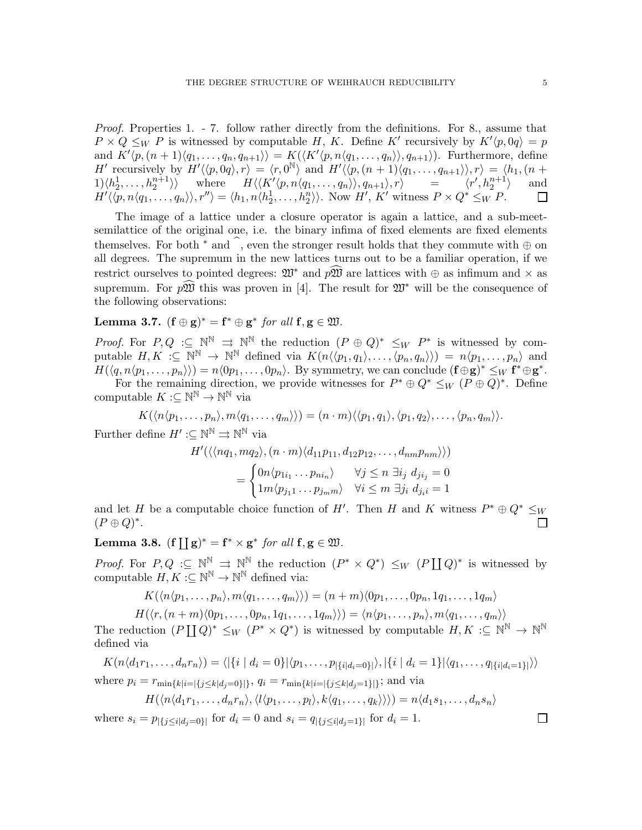Proof. Properties 1. - 7. follow rather directly from the definitions. For 8., assume that  $P \times Q \leq_W P$  is witnessed by computable H, K. Define K' recursively by  $K'(p, 0q) = p$ and  $K'(p,(n+1)\langle q_1,\ldots,q_n,q_{n+1}\rangle) = K(\langle K'(p,n\langle q_1,\ldots,q_n\rangle),q_{n+1}\rangle)$ . Furthermore, define H' recursively by  $H' \langle p, 0q \rangle, r \rangle = \langle r, 0^{\mathbb{N}} \rangle$  and  $H' \langle p, (n + 1) \langle q_1, \ldots, q_{n+1} \rangle \rangle, r \rangle = \langle h_1, (n + 1) \rangle$  $1\rangle\langle h_2^1,\ldots,h_2^{n+1}\rangle\rangle$  where  $H\langle\langle K'\langle p,n\langle q_1,\ldots,q_n\rangle\rangle, q_{n+1}\rangle, r\rangle = \langle r',h_2^{n+1}\langle\langle p,n\langle q_1,\ldots,q_n\rangle\rangle, r''\rangle = \langle h_1,n\langle h_2^1,\ldots,h_2^n\rangle\rangle$ . Now  $H', K'$  witness  $P \times Q^* \leq_W P$ . and  $\Box$ 

The image of a lattice under a closure operator is again a lattice, and a sub-meetsemilattice of the original one, i.e. the binary infima of fixed elements are fixed elements themselves. For both  $*$  and b, even the stronger result holds that they commute with  $oplus$  on all degrees. The supremum in the new lattices turns out to be a familiar operation, if we restrict ourselves to pointed degrees:  $\mathfrak{W}^*$  and  $p\mathfrak{W}$  are lattices with  $\oplus$  as infimum and  $\times$  as supremum. For  $p\mathfrak{W}$  this was proven in [4]. The result for  $\mathfrak{W}^*$  will be the consequence of the following observations:

# Lemma 3.7.  $(f \oplus g)^* = f^* \oplus g^*$  for all  $f, g \in \mathfrak{W}$ .

*Proof.* For  $P, Q \subseteq \mathbb{N}^{\mathbb{N}} \implies \mathbb{N}^{\mathbb{N}}$  the reduction  $(P \oplus Q)^* \leq_W P^*$  is witnessed by computable  $H, K \subset \mathbb{N}^{\mathbb{N}} \to \mathbb{N}^{\mathbb{N}}$  defined via  $K(n \langle \langle p_1, q_1 \rangle, \ldots, \langle p_n, q_n \rangle) ) = n \langle p_1, \ldots, p_n \rangle$  and  $H(\langle q, n \langle p_1, \ldots, p_n \rangle) = n \langle 0p_1, \ldots, 0p_n \rangle$ . By symmetry, we can conclude  $(\mathbf{f} \oplus \mathbf{g})^* \leq_W \mathbf{f}^* \oplus \mathbf{g}^*$ . For the remaining direction, we provide witnesses for  $P^* \oplus Q^* \leq_W (P \oplus Q)^*$ . Define

computable  $K:\subseteq{\mathbb{N}}^{\mathbb{N}}\to{\mathbb{N}}^{\mathbb{N}}$  via

$$
K(\langle n \langle p_1, \ldots, p_n \rangle, m \langle q_1, \ldots, q_m \rangle) = (n \cdot m) \langle p_1, q_1 \rangle, \langle p_1, q_2 \rangle, \ldots, \langle p_n, q_m \rangle).
$$

Further define  $H' : \subseteq \mathbb{N}^{\mathbb{N}} \Rightarrow \mathbb{N}^{\mathbb{N}}$  via

$$
H'(\langle \langle nq_1, mq_2 \rangle, (n \cdot m) \langle d_{11}p_{11}, d_{12}p_{12}, \dots, d_{nm}p_{nm} \rangle \rangle)
$$
  
= 
$$
\begin{cases} 0n \langle p_{1i_1} \dots p_{ni_n} \rangle & \forall j \le n \ \exists i_j \ d_{ji_j} = 0 \\ 1m \langle p_{j_1 1} \dots p_{j_m m} \rangle & \forall i \le m \ \exists j_i \ d_{ji_i} = 1 \end{cases}
$$

and let H be a computable choice function of H'. Then H and K witness  $P^* \oplus Q^* \leq_W$  $(P \oplus Q)^*$ . П

Lemma 3.8.  $(f \coprod g)^* = f^* \times g^*$  for all  $f, g \in \mathfrak{W}$ .

*Proof.* For  $P,Q: \subseteq \mathbb{N}^{\mathbb{N}} \implies \mathbb{N}^{\mathbb{N}}$  the reduction  $(P^* \times Q^*) \leq_W (P \coprod Q)^*$  is witnessed by computable  $H, K : \subseteq \mathbb{N}^{\mathbb{N}} \to \mathbb{N}^{\mathbb{N}}$  defined via:

$$
K(\langle n \langle p_1, \ldots, p_n \rangle, m \langle q_1, \ldots, q_m \rangle) ) = (n+m) \langle 0 p_1, \ldots, 0 p_n, 1 q_1, \ldots, 1 q_m \rangle
$$

 $H(\langle r, (n+m)\langle0p_1, \ldots, 0p_n, 1q_1, \ldots, 1q_m \rangle) = \langle n \langle p_1, \ldots, p_n \rangle, m \langle q_1, \ldots, q_m \rangle \rangle$ The reduction  $(P \coprod Q)^* \leq_W (P^* \times Q^*)$  is witnessed by computable  $H, K : \subseteq \mathbb{N}^{\mathbb{N}} \to \mathbb{N}^{\mathbb{N}}$ defined via

$$
K(n\langle d_1r_1,\ldots,d_nr_n\rangle) = \langle |\{i \mid d_i = 0\}|\langle p_1,\ldots,p_{|\{i|d_i=0\}}\rangle, |\{i \mid d_i=1\}|\langle q_1,\ldots,q_{|\{i|d_i=1\}}\rangle\rangle
$$
  
where  $p_i = r_{\min\{k|i=|\{j\leq k|d_j=0\}|\}}$ ,  $q_i = r_{\min\{k|i=|\{j\leq k|d_j=1\}|\}}$ ; and via

$$
H(\langle n\langle d_1r_1,\ldots,d_nr_n\rangle,\langle l\langle p_1,\ldots,p_l\rangle,k\langle q_1,\ldots,q_k\rangle\rangle\rangle)=n\langle d_1s_1,\ldots,d_ns_n\rangle
$$

where  $s_i = p_{|\{j \leq i | d_i = 0\}|}$  for  $d_i = 0$  and  $s_i = q_{|\{j \leq i | d_j = 1\}|}$  for  $d_i = 1$ .

 $\Box$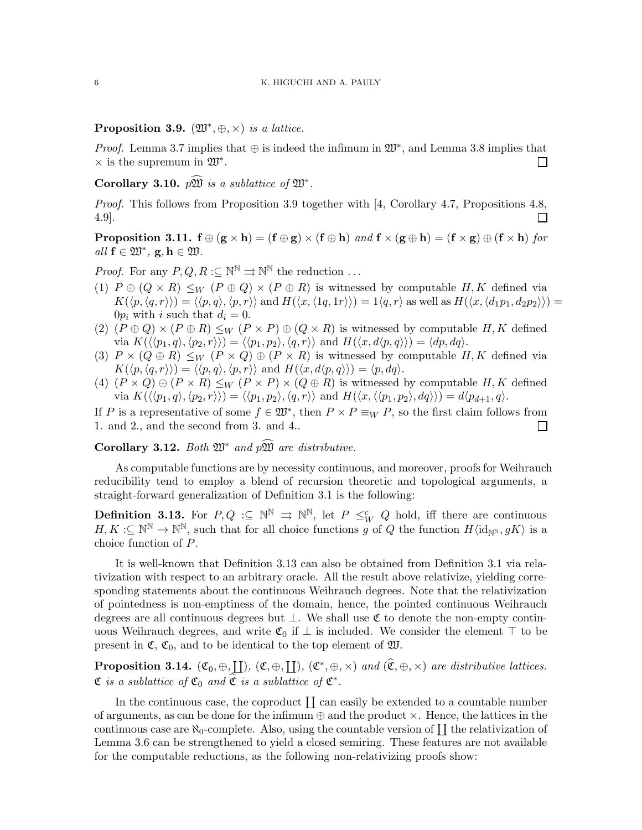Proposition 3.9.  $(\mathfrak{W}^*, \oplus, \times)$  is a lattice.

*Proof.* Lemma 3.7 implies that  $\oplus$  is indeed the infimum in  $\mathfrak{W}^*$ , and Lemma 3.8 implies that  $\times$  is the supremum in  $\mathfrak{W}^*$ .  $\Box$ 

Corollary 3.10.  $p\widehat{\mathfrak{W}}$  is a sublattice of  $\mathfrak{W}^*$ .

Proof. This follows from Proposition 3.9 together with [4, Corollary 4.7, Propositions 4.8, 4.9].  $\Box$ 

**Proposition 3.11.**  $f \oplus (g \times h) = (f \oplus g) \times (f \oplus h)$  and  $f \times (g \oplus h) = (f \times g) \oplus (f \times h)$  for  $all \ f \in \mathfrak{W}^*, \ g, h \in \mathfrak{W}.$ 

*Proof.* For any  $P, Q, R \subset \mathbb{N}^{\mathbb{N}} \rightrightarrows \mathbb{N}^{\mathbb{N}}$  the reduction ...

- (1)  $P \oplus (Q \times R) \leq_W (P \oplus Q) \times (P \oplus R)$  is witnessed by computable H, K defined via  $K(\langle p,\langle q,r \rangle) = \langle \langle p,q \rangle, \langle p,r \rangle \rangle$  and  $H(\langle x,\langle 1q,1r \rangle) = 1\langle q,r \rangle$  as well as  $H(\langle x,\langle d_1p_1, d_2p_2 \rangle) =$  $0p_i$  with i such that  $d_i = 0$ .
- (2)  $(P \oplus Q) \times (P \oplus R) \leq_W (P \times P) \oplus (Q \times R)$  is witnessed by computable H, K defined via  $K(\langle \langle p_1, q \rangle, \langle p_2, r \rangle) = \langle \langle p_1, p_2 \rangle, \langle q, r \rangle \rangle$  and  $H(\langle x, d \langle p, q \rangle) = \langle dp, dq \rangle$ .
- (3)  $P \times (Q \oplus R) \leq_W (P \times Q) \oplus (P \times R)$  is witnessed by computable H, K defined via  $K(\langle p, \langle q, r \rangle) = \langle \langle p, q \rangle, \langle p, r \rangle \rangle$  and  $H(\langle x, d \langle p, q \rangle) = \langle p, dq \rangle$ .
- (4)  $(P \times Q) \oplus (P \times R) \leq_W (P \times P) \times (Q \oplus R)$  is witnessed by computable H, K defined via  $K(\langle \langle p_1, q \rangle, \langle p_2, r \rangle) = \langle \langle p_1, p_2 \rangle, \langle q, r \rangle \rangle$  and  $H(\langle x, \langle \langle p_1, p_2 \rangle, dq \rangle) = d\langle p_{d+1}, q \rangle$ .

If P is a representative of some  $f \in \mathfrak{W}^*$ , then  $P \times P \equiv_W P$ , so the first claim follows from 1. and 2., and the second from 3. and 4..  $\Box$ 

Corollary 3.12. Both  $\mathfrak{W}^*$  and  $p\widehat{\mathfrak{W}}$  are distributive.

As computable functions are by necessity continuous, and moreover, proofs for Weihrauch reducibility tend to employ a blend of recursion theoretic and topological arguments, a straight-forward generalization of Definition 3.1 is the following:

**Definition 3.13.** For  $P, Q \subseteq \mathbb{N}^{\mathbb{N}} \Rightarrow \mathbb{N}^{\mathbb{N}}$ , let  $P \leq^c_W Q$  hold, iff there are continuous  $H, K: \subseteq \mathbb{N}^{\mathbb{N}} \to \mathbb{N}^{\mathbb{N}}$ , such that for all choice functions g of Q the function  $H\langle id_{\mathbb{N}^{\mathbb{N}}}, gK \rangle$  is a choice function of P.

It is well-known that Definition 3.13 can also be obtained from Definition 3.1 via relativization with respect to an arbitrary oracle. All the result above relativize, yielding corresponding statements about the continuous Weihrauch degrees. Note that the relativization of pointedness is non-emptiness of the domain, hence, the pointed continuous Weihrauch degrees are all continuous degrees but ⊥. We shall use C to denote the non-empty continuous Weihrauch degrees, and write  $\mathfrak{C}_0$  if  $\perp$  is included. We consider the element ⊤ to be present in  $\mathfrak{C}, \mathfrak{C}_0$ , and to be identical to the top element of  $\mathfrak{W}$ .

**Proposition 3.14.**  $(\mathfrak{C}_0, \oplus, \underline{\mathfrak{L}})$ ,  $(\mathfrak{C}, \oplus, \underline{\mathfrak{L}})$ ,  $(\mathfrak{C}^*, \oplus, \times)$  and  $(\widehat{\mathfrak{C}}, \oplus, \times)$  are distributive lattices.  $\mathfrak C$  is a sublattice of  $\mathfrak C_0$  and  $\widehat{\mathfrak C}$  is a sublattice of  $\mathfrak C^*$ .

In the continuous case, the coproduct  $\coprod$  can easily be extended to a countable number of arguments, as can be done for the infimum  $\oplus$  and the product  $\times$ . Hence, the lattices in the continuous case are  $\aleph_0$ -complete. Also, using the countable version of  $\coprod$  the relativization of Lemma 3.6 can be strengthened to yield a closed semiring. These features are not available for the computable reductions, as the following non-relativizing proofs show: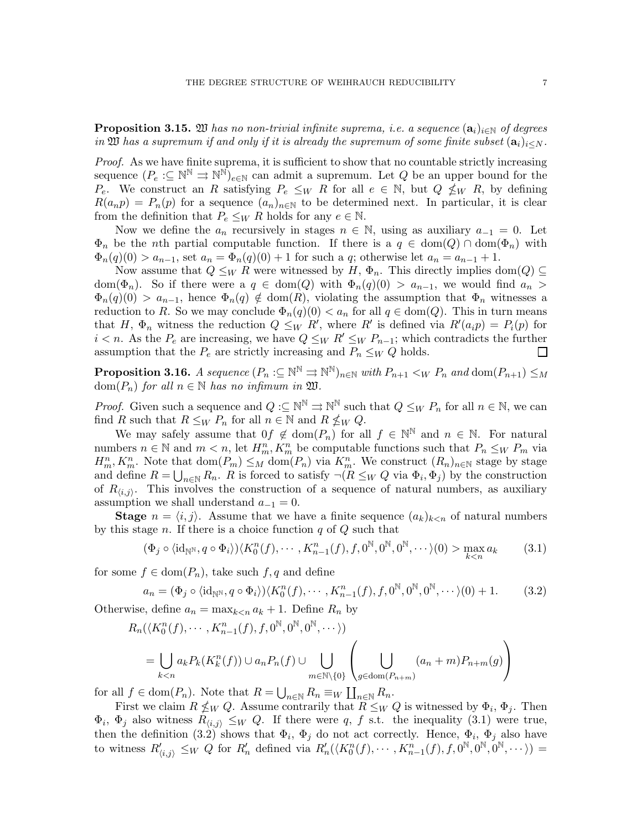**Proposition 3.15.** 20 has no non-trivial infinite suprema, i.e. a sequence  $(\mathbf{a}_i)_{i\in\mathbb{N}}$  of degrees in 200 has a supremum if and only if it is already the supremum of some finite subset  $(a_i)_{i\leq N}$ .

Proof. As we have finite suprema, it is sufficient to show that no countable strictly increasing sequence  $(P_e: \subseteq \mathbb{N}^{\mathbb{N}} \rightrightarrows \mathbb{N}^{\mathbb{N}})_{e \in \mathbb{N}}$  can admit a supremum. Let Q be an upper bound for the  $P_e$ . We construct an R satisfying  $P_e \leq_W R$  for all  $e \in \mathbb{N}$ , but  $Q \nleq_W R$ , by defining  $R(a_np) = P_n(p)$  for a sequence  $(a_n)_{n\in\mathbb{N}}$  to be determined next. In particular, it is clear from the definition that  $P_e \leq_W R$  holds for any  $e \in \mathbb{N}$ .

Now we define the  $a_n$  recursively in stages  $n \in \mathbb{N}$ , using as auxiliary  $a_{-1} = 0$ . Let  $\Phi_n$  be the nth partial computable function. If there is a  $q \in \text{dom}(Q) \cap \text{dom}(\Phi_n)$  with  $\Phi_n(q)(0) > a_{n-1}$ , set  $a_n = \Phi_n(q)(0) + 1$  for such a q; otherwise let  $a_n = a_{n-1} + 1$ .

Now assume that  $Q \leq_W R$  were witnessed by H,  $\Phi_n$ . This directly implies dom( $Q$ )  $\subseteq$ dom( $\Phi_n$ ). So if there were a  $q \in \text{dom}(Q)$  with  $\Phi_n(q)(0) > a_{n-1}$ , we would find  $a_n >$  $\Phi_n(q)(0) > a_{n-1}$ , hence  $\Phi_n(q) \notin \text{dom}(R)$ , violating the assumption that  $\Phi_n$  witnesses a reduction to R. So we may conclude  $\Phi_n(q)(0) < a_n$  for all  $q \in \text{dom}(Q)$ . This in turn means that H,  $\Phi_n$  witness the reduction  $Q \leq_W R'$ , where R' is defined via  $R'(a_i p) = P_i(p)$  for  $i < n$ . As the  $P_e$  are increasing, we have  $Q \leq_W R' \leq_W P_{n-1}$ ; which contradicts the further assumption that the  $P_e$  are strictly increasing and  $P_n \leq_W Q$  holds.  $\Box$ 

**Proposition 3.16.** A sequence  $(P_n:\subseteq{\mathbb{N}}^{\mathbb{N}}\rightrightarrows{\mathbb{N}}^{\mathbb{N}})_{n\in{\mathbb{N}}}$  with  $P_{n+1}<_W P_n$  and  ${\rm dom}(P_{n+1})\le_M$ dom $(P_n)$  for all  $n \in \mathbb{N}$  has no infimum in  $\mathfrak{W}$ .

*Proof.* Given such a sequence and  $Q := \mathbb{N}^{\mathbb{N}} \Rightarrow \mathbb{N}^{\mathbb{N}}$  such that  $Q \leq_W P_n$  for all  $n \in \mathbb{N}$ , we can find R such that  $R \leq_W P_n$  for all  $n \in \mathbb{N}$  and  $R \nleq_W Q$ .

We may safely assume that  $0f \notin \text{dom}(P_n)$  for all  $f \in \mathbb{N}^{\mathbb{N}}$  and  $n \in \mathbb{N}$ . For natural numbers  $n \in \mathbb{N}$  and  $m < n$ , let  $H_m^n$ ,  $K_m^n$  be computable functions such that  $P_n \leq_W P_m$  via  $H_m^n, K_m^n$ . Note that  $dom(P_m) \leq_M dom(P_n)$  via  $K_m^n$ . We construct  $(R_n)_{n\in\mathbb{N}}$  stage by stage and define  $R = \bigcup_{n \in \mathbb{N}} R_n$ . R is forced to satisfy  $\neg (R \leq_W Q \text{ via } \Phi_i, \Phi_j)$  by the construction of  $R_{\langle i,j \rangle}$ . This involves the construction of a sequence of natural numbers, as auxiliary assumption we shall understand  $a_{-1} = 0$ .

**Stage**  $n = \langle i, j \rangle$ . Assume that we have a finite sequence  $(a_k)_{k \leq n}$  of natural numbers by this stage  $n$ . If there is a choice function  $q$  of  $Q$  such that

$$
(\Phi_j \circ \langle \mathrm{id}_{\mathbb{N}^\mathbb{N}}, q \circ \Phi_i \rangle) \langle K_0^n(f), \cdots, K_{n-1}^n(f), f, 0^\mathbb{N}, 0^\mathbb{N}, 0^\mathbb{N}, \cdots \rangle(0) > \max_{k < n} a_k \tag{3.1}
$$

for some  $f \in \text{dom}(P_n)$ , take such  $f, q$  and define

$$
a_n = (\Phi_j \circ \langle \mathrm{id}_{\mathbb{N}^\mathbb{N}}, q \circ \Phi_i \rangle) \langle K_0^n(f), \cdots, K_{n-1}^n(f), f, 0^{\mathbb{N}}, 0^{\mathbb{N}}, 0^{\mathbb{N}}, \cdots \rangle(0) + 1. \tag{3.2}
$$

Otherwise, define  $a_n = \max_{k \leq n} a_k + 1$ . Define  $R_n$  by

$$
R_n(\langle K_0^n(f), \cdots, K_{n-1}^n(f), f, 0^{\mathbb{N}}, 0^{\mathbb{N}}, 0^{\mathbb{N}}, \cdots \rangle)
$$
  
= 
$$
\bigcup_{k < n} a_k P_k(K_k^n(f)) \cup a_n P_n(f) \cup \bigcup_{m \in \mathbb{N} \setminus \{0\}} \left( \bigcup_{g \in \text{dom}(P_{n+m})} (a_n + m) P_{n+m}(g) \right)
$$

for all  $f \in \text{dom}(P_n)$ . Note that  $R = \bigcup_{n \in \mathbb{N}} R_n \equiv_W \coprod_{n \in \mathbb{N}} R_n$ .

First we claim  $R \nleq_W Q$ . Assume contrarily that  $R \leq_W Q$  is witnessed by  $\Phi_i$ ,  $\Phi_j$ . Then  $\Phi_i$ ,  $\Phi_j$  also witness  $R_{\langle i,j \rangle} \leq_W Q$ . If there were q, f s.t. the inequality (3.1) were true, then the definition (3.2) shows that  $\Phi_i$ ,  $\Phi_j$  do not act correctly. Hence,  $\Phi_i$ ,  $\Phi_j$  also have to witness  $R'_{\langle i,j\rangle} \leq_W Q$  for  $R'_n$  defined via  $R'_n(\langle K_0^n(f),\cdots,K_{n-1}^n(f),f,0^{\mathbb{N}},0^{\mathbb{N}},0^{\mathbb{N}},\cdots\rangle) =$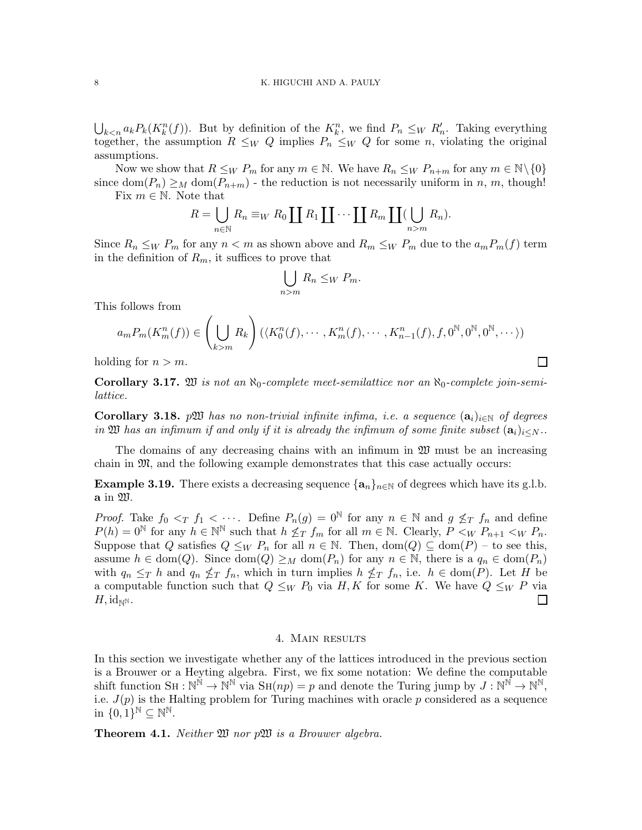$\bigcup_{k\leq n} a_k P_k(K_k^n(f))$ . But by definition of the  $K_k^n$ , we find  $P_n \leq_W R'_n$ . Taking everything together, the assumption  $R \leq_W Q$  implies  $P_n \leq_W Q$  for some n, violating the original assumptions.

Now we show that  $R \leq_W P_m$  for any  $m \in \mathbb{N}$ . We have  $R_n \leq_W P_{n+m}$  for any  $m \in \mathbb{N} \setminus \{0\}$ since  $\text{dom}(P_n) \geq_M \text{dom}(P_{n+m})$  - the reduction is not necessarily uniform in n, m, though!

Fix  $m \in \mathbb{N}$ . Note that

$$
R = \bigcup_{n \in \mathbb{N}} R_n \equiv_W R_0 \coprod R_1 \coprod \cdots \coprod R_m \coprod (\bigcup_{n>m} R_n).
$$

Since  $R_n \leq_W P_m$  for any  $n < m$  as shown above and  $R_m \leq_W P_m$  due to the  $a_m P_m(f)$  term in the definition of  $R_m$ , it suffices to prove that

$$
\bigcup_{n>m} R_n \leq_W P_m.
$$

This follows from

$$
a_m P_m(K_m^n(f)) \in \left(\bigcup_{k>m} R_k\right) (\langle K_0^n(f), \cdots, K_m^n(f), \cdots, K_{n-1}^n(f), f, 0^{\mathbb{N}}, 0^{\mathbb{N}}, 0^{\mathbb{N}}, \cdots \rangle)
$$

 $\Box$ 

holding for  $n > m$ .

Corollary 3.17.  $\mathfrak W$  is not an  $\aleph_0$ -complete meet-semilattice nor an  $\aleph_0$ -complete join-semilattice.

Corollary 3.18. pW has no non-trivial infinite infima, i.e. a sequence  $(a_i)_{i\in\mathbb{N}}$  of degrees in  $\mathfrak W$  has an infimum if and only if it is already the infimum of some finite subset  $(\mathbf{a}_i)_{i\leq N}$ .

The domains of any decreasing chains with an infimum in  $\mathfrak W$  must be an increasing chain in M, and the following example demonstrates that this case actually occurs:

**Example 3.19.** There exists a decreasing sequence  $\{a_n\}_{n\in\mathbb{N}}$  of degrees which have its g.l.b. a in W.

*Proof.* Take  $f_0 <_T f_1 < \cdots$ . Define  $P_n(g) = 0^{\mathbb{N}}$  for any  $n \in \mathbb{N}$  and  $g \nleq_T f_n$  and define  $P(h) = 0^{\mathbb{N}}$  for any  $h \in \mathbb{N}^{\mathbb{N}}$  such that  $h \nleq_T f_m$  for all  $m \in \mathbb{N}$ . Clearly,  $P \lt_W P_{n+1} \lt_W P_n$ . Suppose that Q satisfies  $Q \leq_W P_n$  for all  $n \in \mathbb{N}$ . Then,  $dom(Q) \subseteq dom(P) -$  to see this, assume  $h \in \text{dom}(Q)$ . Since  $\text{dom}(Q) \geq_M \text{dom}(P_n)$  for any  $n \in \mathbb{N}$ , there is a  $q_n \in \text{dom}(P_n)$ with  $q_n \leq_T h$  and  $q_n \nleq_T f_n$ , which in turn implies  $h \nleq_T f_n$ , i.e.  $h \in \text{dom}(P)$ . Let H be a computable function such that  $Q \leq_W P_0$  via  $H, K$  for some K. We have  $Q \leq_W P$  via  $H, \mathrm{id}_{\mathbb{N}^{\mathbb{N}}}.$ П

## 4. Main results

In this section we investigate whether any of the lattices introduced in the previous section is a Brouwer or a Heyting algebra. First, we fix some notation: We define the computable shift function  $SH : \mathbb{N}^{\mathbb{N}} \to \mathbb{N}^{\mathbb{N}}$  via  $SH(np) = p$  and denote the Turing jump by  $J : \mathbb{N}^{\mathbb{N}} \to \mathbb{N}^{\mathbb{N}}$ , i.e.  $J(p)$  is the Halting problem for Turing machines with oracle p considered as a sequence in  $\{0,1\}^{\mathbb{N}} \subseteq \mathbb{N}^{\mathbb{N}}$ .

**Theorem 4.1.** Neither  $\mathfrak{W}$  nor  $p\mathfrak{W}$  is a Brouwer algebra.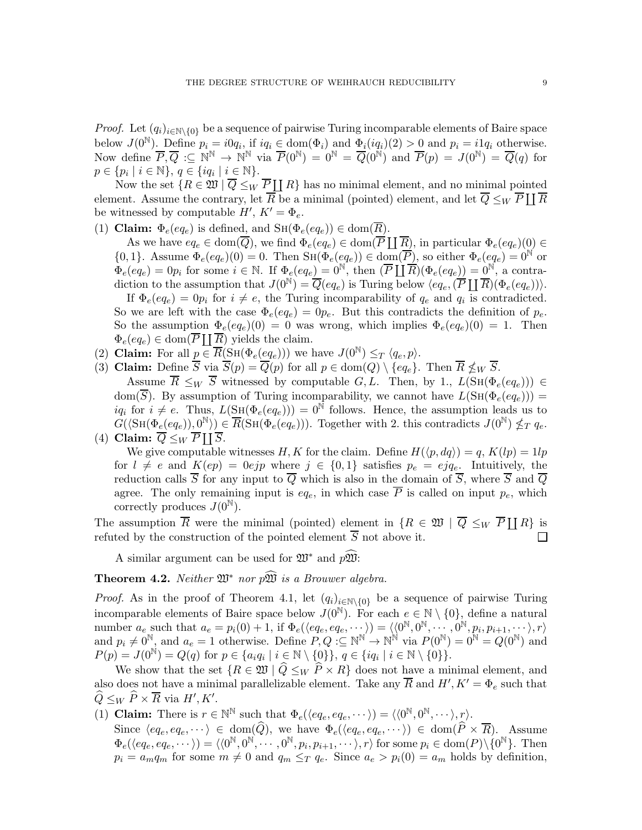*Proof.* Let  $(q_i)_{i\in\mathbb{N}\setminus\{0\}}$  be a sequence of pairwise Turing incomparable elements of Baire space below  $J(0^{\mathbb{N}})$ . Define  $p_i = i0q_i$ , if  $iq_i \in \text{dom}(\Phi_i)$  and  $\Phi_i(iq_i)(2) > 0$  and  $p_i = i1q_i$  otherwise. Now define  $\overline{P}, \overline{Q} : \subseteq \mathbb{N}^{\mathbb{N}} \to \mathbb{N}^{\mathbb{N}}$  via  $\overline{P}(0^{\mathbb{N}}) = 0^{\mathbb{N}} = \overline{Q}(0^{\mathbb{N}})$  and  $\overline{P}(p) = J(0^{\mathbb{N}}) = \overline{Q}(q)$  for  $p \in \{p_i \mid i \in \mathbb{N}\}, q \in \{iq_i \mid i \in \mathbb{N}\}.$ 

Now the set  $\{R \in \mathfrak{W} \mid \overline{Q} \leq_W \overline{P} \coprod R\}$  has no minimal element, and no minimal pointed element. Assume the contrary, let  $\overline{R}$  be a minimal (pointed) element, and let  $\overline{Q} \leq_W \overline{P} \coprod \overline{R}$ be witnessed by computable  $H', K' = \Phi_e$ .

(1) Claim:  $\Phi_e(eq_e)$  is defined, and  $\text{SH}(\Phi_e(eq_e)) \in \text{dom}(\overline{R})$ .

As we have  $eq_e \in \text{dom}(\overline{Q})$ , we find  $\Phi_e(eq_e) \in \text{dom}(\overline{P} \coprod \overline{R})$ , in particular  $\Phi_e(eq_e)(0) \in$  $\{0,1\}$ . Assume  $\Phi_e(eq_e)(0) = 0$ . Then  $\text{SH}(\Phi_e(eq_e)) \in \text{dom}(\overline{P})$ , so either  $\Phi_e(eq_e) = 0^{\mathbb{N}}$  or  $\Phi_e(eq_e) = 0p_i$  for some  $i \in \mathbb{N}$ . If  $\Phi_e(eq_e) = 0^{\mathbb{N}}$ , then  $(\overline{P} \coprod \overline{R})(\Phi_e(eq_e)) = 0^{\mathbb{N}}$ , a contradiction to the assumption that  $J(0^{\mathbb{N}}) = \overline{Q}(eq_e)$  is Turing below  $\langle eq_e, (\overline{P} \coprod \overline{R})(\Phi_e (eq_e)) \rangle$ . If  $\Phi_e(eq_e) = 0p_i$  for  $i \neq e$ , the Turing incomparability of  $q_e$  and  $q_i$  is contradicted. So we are left with the case  $\Phi_e(eq_e) = 0p_e$ . But this contradicts the definition of  $p_e$ . So the assumption  $\Phi_e(eq_e)(0) = 0$  was wrong, which implies  $\Phi_e(eq_e)(0) = 1$ . Then  $\Phi_e(eq_e) \in \text{dom}(\overline{P} \coprod \overline{R})$  yields the claim.

- (2) Claim: For all  $p \in \overline{R}(\text{SH}(\Phi_e(eq_e)))$  we have  $J(0^{\mathbb{N}}) \leq_T \langle q_e, p \rangle$ .
- (3) Claim: Define S via  $S(p) = Q(p)$  for all  $p \in \text{dom}(Q) \setminus \{eq_e\}.$  Then  $R \nleq_W S$ .

Assume  $\overline{R} \leq_W \overline{S}$  witnessed by computable  $G, L$ . Then, by 1.,  $L(\text{SH}(\Phi_e(eq_e))) \in$ dom( $\overline{S}$ ). By assumption of Turing incomparability, we cannot have  $L(SH(\Phi_e(eq_e)))$  =  $iq_i$  for  $i \neq e$ . Thus,  $L(\text{SH}(\Phi_e(eq_e))) = 0^{\mathbb{N}}$  follows. Hence, the assumption leads us to  $G(\langle \text{SH}(\Phi_e(eq_e)), 0^{\mathbb{N}} \rangle) \in \overline{R}(\text{SH}(\Phi_e(eq_e)))$ . Together with 2. this contradicts  $J(0^{\mathbb{N}}) \nleq_T q_e$ . (4) Claim:  $\overline{Q} \leq_W \overline{P} \coprod \overline{S}$ .

We give computable witnesses H, K for the claim. Define  $H(\langle p, dq \rangle) = q$ ,  $K(lp) = 1lp$ for  $l \neq e$  and  $K(ep) = 0ejp$  where  $j \in \{0,1\}$  satisfies  $p_e = ejq_e$ . Intuitively, the reduction calls  $\overline{S}$  for any input to  $\overline{Q}$  which is also in the domain of  $\overline{S}$ , where  $\overline{S}$  and  $\overline{Q}$ agree. The only remaining input is  $eq_e$ , in which case  $\overline{P}$  is called on input  $p_e$ , which correctly produces  $J(0^{\mathbb{N}})$ .

The assumption  $\overline{R}$  were the minimal (pointed) element in  $\{R \in \mathfrak{W} \mid \overline{Q} \leq_W \overline{P} \coprod R\}$  is refuted by the construction of the pointed element  $\overline{S}$  not above it.  $\Box$ 

A similar argument can be used for  $\mathfrak{W}^*$  and  $p\mathfrak{W}^*$ :

**Theorem 4.2.** Neither  $\mathfrak{W}^*$  nor  $p\hat{\mathfrak{W}}$  is a Brouwer algebra.

*Proof.* As in the proof of Theorem 4.1, let  $(q_i)_{i\in\mathbb{N}\setminus\{0\}}$  be a sequence of pairwise Turing incomparable elements of Baire space below  $J(0^N)$ . For each  $e \in \mathbb{N} \setminus \{0\}$ , define a natural number  $a_e$  such that  $a_e = p_i(0) + 1$ , if  $\Phi_e(\langle eq_e, eq_e, \cdots \rangle) = \langle \langle 0^{\mathbb{N}}, 0^{\mathbb{N}}, \cdots, 0^{\mathbb{N}}, p_i, p_{i+1}, \cdots \rangle, r \rangle$ and  $p_i \neq 0^{\mathbb{N}}$ , and  $a_e = 1$  otherwise. Define  $P, Q : \subseteq \mathbb{N}^{\mathbb{N}} \to \mathbb{N}^{\mathbb{N}}$  via  $P(0^{\mathbb{N}}) = 0^{\mathbb{N}} = Q(0^{\mathbb{N}})$  and  $P(p) = J(0^{\mathbb{N}}) = Q(q)$  for  $p \in \{a_i q_i \mid i \in \mathbb{N} \setminus \{0\}\}, q \in \{iq_i \mid i \in \mathbb{N} \setminus \{0\}\}.$ 

We show that the set  $\{R \in \mathfrak{W} \mid \widehat{Q} \leq_W \widehat{P} \times R\}$  does not have a minimal element, and also does not have a minimal parallelizable element. Take any  $\overline{R}$  and  $H', K' = \Phi_e$  such that  $\widehat{Q} \leq_W \widehat{P} \times \overline{R}$  via  $H', K'.$ 

- (1) **Claim:** There is  $r \in \mathbb{N}^{\mathbb{N}}$  such that  $\Phi_e(\langle eq_e, eq_e, \cdots \rangle) = \langle \langle 0^{\mathbb{N}}, 0^{\mathbb{N}}, \cdots \rangle, r \rangle$ .
	- Since  $\langle eq_e, eq_e, \cdots \rangle \in \text{dom}(\widehat{Q}),$  we have  $\Phi_e(\langle eq_e, eq_e, \cdots \rangle) \in \text{dom}(\widehat{P} \times \overline{R})$ . Assume  $\Phi_e(\langle e q_e, e q_e, \dots \rangle) = \langle \langle 0^{\mathbb{N}}, 0^{\mathbb{N}}, \dots, 0^{\mathbb{N}}, p_i, p_{i+1}, \dots \rangle, r \rangle \text{ for some } p_i \in \text{dom}(P) \setminus \{0^{\mathbb{N}}\}. \text{ Then}$  $p_i = a_m q_m$  for some  $m \neq 0$  and  $q_m \leq_T q_e$ . Since  $a_e > p_i(0) = a_m$  holds by definition,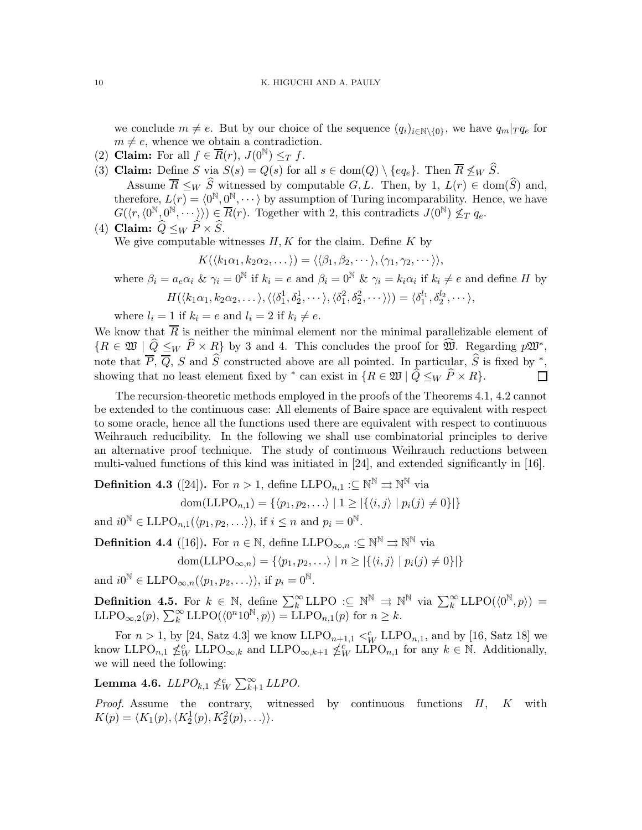we conclude  $m \neq e$ . But by our choice of the sequence  $(q_i)_{i \in \mathbb{N} \setminus \{0\}}$ , we have  $q_m|_T q_e$  for  $m \neq e$ , whence we obtain a contradiction.

- (2) Claim: For all  $f \in \overline{R}(r)$ ,  $J(0^{\mathbb{N}}) \leq_T f$ .
- (3) Claim: Define S via  $S(s) = Q(s)$  for all  $s \in \text{dom}(Q) \setminus \{eq_e\}$ . Then  $\overline{R} \not\leq_W \widehat{S}$ .<br>Assume  $\overline{R} \leq_W \widehat{S}$  witnessed by computable  $G, L$ . Then, by  $1, L(r) \in \text{dom}(\widehat{S})$  and, Assume  $R \leq_W S$  witnessed by computable  $G, L$ . Then, by  $1, L(r) \in \text{dom}(S)$  and, therefore,  $L(r) = \langle 0^{\mathbb{N}}, 0^{\mathbb{N}}, \cdots \rangle$  by assumption of Turing incomparability. Hence, we have  $G(\langle r, \langle 0^{\mathbb{N}}, 0^{\mathbb{N}}, \cdots \rangle) \in \overline{R}(r)$ . Together with 2, this contradicts  $J(0^{\mathbb{N}}) \nleq_T q_e$ .

(4) Claim: 
$$
Q \leq_W P \times S
$$
.

We give computable witnesses  $H, K$  for the claim. Define  $K$  by

$$
K(\langle k_1\alpha_1,k_2\alpha_2,\dots\rangle)=\langle\langle \beta_1,\beta_2,\dots\rangle,\langle \gamma_1,\gamma_2,\dots\rangle\rangle,
$$

where  $\beta_i = a_e \alpha_i$  &  $\gamma_i = 0^{\mathbb{N}}$  if  $k_i = e$  and  $\beta_i = 0^{\mathbb{N}}$  &  $\gamma_i = k_i \alpha_i$  if  $k_i \neq e$  and define H by  $H(\langle k_1\alpha_1,k_2\alpha_2,\dots\rangle,\langle\langle\delta_1^1,\delta_2^1,\dots\rangle,\langle\delta_1^2,\delta_2^2,\dots\rangle\rangle)=\langle\delta_1^{l_1},\delta_2^{l_2},\dots\rangle,$ 

where  $l_i = 1$  if  $k_i = e$  and  $l_i = 2$  if  $k_i \neq e$ .

We know that  $\overline{R}$  is neither the minimal element nor the minimal parallelizable element of  ${R \in \mathfrak{W} \mid \hat{Q} \leq_W \hat{P} \times R}$  by 3 and 4. This concludes the proof for  $\widehat{\mathfrak{W}}$ . Regarding  $p\mathfrak{W}^*$ , note that  $\overline{P}$ ,  $\overline{Q}$ , S and S constructed above are all pointed. In particular, S is fixed by <sup>\*</sup>, showing that no least element fixed by  $*$  can exist in  $\{R \in \mathfrak{W} \mid \widehat{Q} \leq_W \widehat{P} \times R\}.$ 

The recursion-theoretic methods employed in the proofs of the Theorems 4.1, 4.2 cannot be extended to the continuous case: All elements of Baire space are equivalent with respect to some oracle, hence all the functions used there are equivalent with respect to continuous Weihrauch reducibility. In the following we shall use combinatorial principles to derive an alternative proof technique. The study of continuous Weihrauch reductions between multi-valued functions of this kind was initiated in [24], and extended significantly in [16].

**Definition 4.3** ([24]). For  $n > 1$ , define LLPO<sub>n,1</sub> : $\subseteq \mathbb{N}^{\mathbb{N}} \Rightarrow \mathbb{N}^{\mathbb{N}}$  via

$$
dom(\text{LLPO}_{n,1}) = \{ \langle p_1, p_2, \ldots \rangle \mid 1 \geq |\{ \langle i, j \rangle \mid p_i(j) \neq 0 \}|\}
$$

and  $i0^{\mathbb{N}} \in \text{LLPO}_{n,1}(\langle p_1, p_2, \ldots \rangle)$ , if  $i \leq n$  and  $p_i = 0^{\mathbb{N}}$ .

**Definition 4.4** ([16]). For  $n \in \mathbb{N}$ , define LLPO<sub>∞,n</sub> : $\subseteq \mathbb{N}^{\mathbb{N}} \Rightarrow \mathbb{N}^{\mathbb{N}}$  via

$$
dom(\text{LLPO}_{\infty,n}) = \{ \langle p_1, p_2, \ldots \rangle \mid n \geq |\{ \langle i, j \rangle \mid p_i(j) \neq 0 \}|\}
$$

and  $i0^{\mathbb{N}} \in \text{LLPO}_{\infty,n}(\langle p_1, p_2, \ldots \rangle)$ , if  $p_i = 0^{\mathbb{N}}$ .

**Definition 4.5.** For  $k \in \mathbb{N}$ , define  $\sum_{k=1}^{\infty}$  LLPO : $\subseteq \mathbb{N}^{\mathbb{N}} \implies \mathbb{N}^{\mathbb{N}}$  via  $\sum_{k=1}^{\infty}$  LLPO $(\langle 0^{\mathbb{N}}, p \rangle) =$ LLPO<sub>∞,2</sub> $(p)$ ,  $\sum_{k}^{\infty}$  LLPO( $\langle 0^n 10^{\mathbb{N}}, p \rangle$ ) = LLPO<sub>n,1</sub> $(p)$  for  $n \geq k$ .

For  $n > 1$ , by [24, Satz 4.3] we know LLPO<sub>n+1,1</sub>  $\lt^c_W$  LLPO<sub>n,1</sub>, and by [16, Satz 18] we know  $\text{LLPO}_{n,1} \nleq^c_W \text{LLPO}_{\infty,k}$  and  $\text{LLPO}_{\infty,k+1} \nleq^c_W \text{LLPO}_{n,1}$  for any  $k \in \mathbb{N}$ . Additionally, we will need the following:

Lemma 4.6.  $LLPO_{k,1} \nleq^c_W \sum_{k+1}^{\infty} LLPO$ .

*Proof.* Assume the contrary, witnessed by continuous functions  $H$ ,  $K$  with  $K(p) = \langle K_1(p), \langle K_2^1(p), K_2^2(p), \ldots \rangle \rangle.$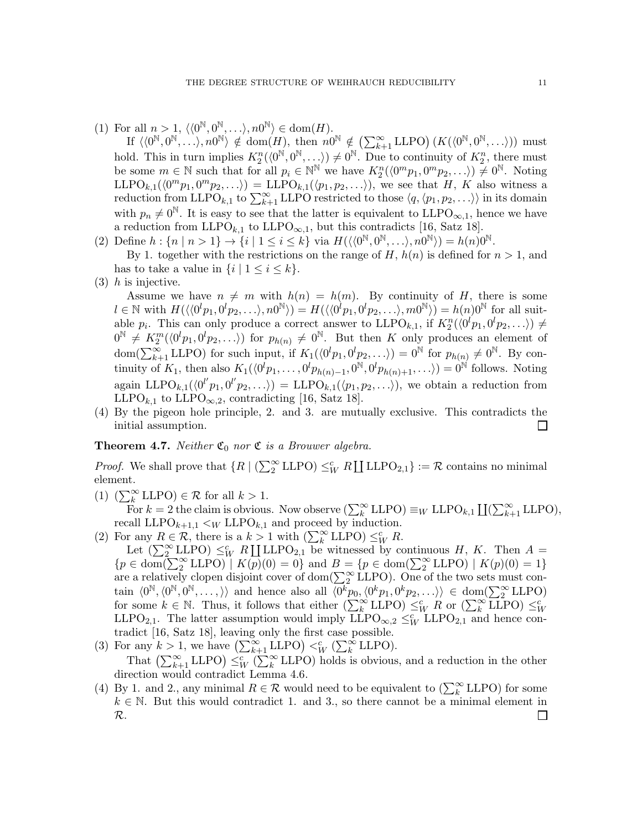(1) For all  $n > 1, \langle \langle 0^{\mathbb{N}}, 0^{\mathbb{N}}, \ldots \rangle, n0^{\mathbb{N}} \rangle \in \text{dom}(H)$ .

If  $\langle 0^{\mathbb{N}}, 0^{\mathbb{N}}, \ldots \rangle, n0^{\mathbb{N}} \rangle \notin \text{dom}(H)$ , then  $n0^{\mathbb{N}} \notin (\sum_{k+1}^{\infty} \text{LLPO}) (K(\langle 0^{\mathbb{N}}, 0^{\mathbb{N}}, \ldots \rangle))$  must hold. This in turn implies  $K_2^n(\langle 0^{\mathbb{N}}, 0^{\mathbb{N}}, \ldots \rangle) \neq 0^{\mathbb{N}}$ . Due to continuity of  $K_2^n$ , there must be some  $m \in \mathbb{N}$  such that for all  $p_i \in \mathbb{N}^{\mathbb{N}}$  we have  $K_2^n(\langle 0^m p_1, 0^m p_2, \ldots \rangle) \neq 0^{\mathbb{N}}$ . Noting  $LLPO_{k,1}(\langle 0^m p_1, 0^m p_2, \ldots \rangle) = LLPO_{k,1}(\langle p_1, p_2, \ldots \rangle)$ , we see that H, K also witness a reduction from LLPO<sub>k,1</sub> to  $\sum_{k=1}^{\infty}$  LLPO restricted to those  $\langle q, \langle p_1, p_2, \ldots \rangle \rangle$  in its domain with  $p_n \neq 0^{\mathbb{N}}$ . It is easy to see that the latter is equivalent to LLPO<sub>∞,1</sub>, hence we have a reduction from LLPO<sub>k,1</sub> to LLPO<sub>∞,1</sub>, but this contradicts [16, Satz 18].

- (2) Define  $h: \{n \mid n > 1\} \rightarrow \{i \mid 1 \leq i \leq k\}$  via  $H(\langle \langle 0^{\mathbb{N}}, 0^{\mathbb{N}}, \ldots \rangle, n0^{\mathbb{N}} \rangle) = h(n)0^{\mathbb{N}}$ . By 1. together with the restrictions on the range of H,  $h(n)$  is defined for  $n > 1$ , and has to take a value in  $\{i \mid 1 \leq i \leq k\}.$
- $(3)$  *h* is injective.

Assume we have  $n \neq m$  with  $h(n) = h(m)$ . By continuity of H, there is some  $l \in \mathbb{N}$  with  $H(\langle\langle 0^l p_1, 0^l p_2, \ldots \rangle, n0^{\mathbb{N}}\rangle) = H(\langle\langle 0^l p_1, 0^l p_2, \ldots \rangle, m0^{\mathbb{N}}\rangle) = h(n)0^{\mathbb{N}}$  for all suitable  $p_i$ . This can only produce a correct answer to  $LLPO_{k,1}$ , if  $K_2^n(\langle 0^l p_1, 0^l p_2, \ldots \rangle) \neq$  $0^{\mathbb{N}} \neq K_2^m(\langle 0^l p_1, 0^l p_2, \ldots \rangle)$  for  $p_{h(n)} \neq 0^{\mathbb{N}}$ . But then K only produces an element of  $dom(\sum_{k+1}^{\infty} LLPO)$  for such input, if  $K_1(\langle 0^l p_1, 0^l p_2, \ldots \rangle) = 0^{\mathbb{N}}$  for  $p_{h(n)} \neq 0^{\mathbb{N}}$ . By continuity of  $K_1$ , then also  $K_1(\langle 0^l p_1, \ldots, 0^l p_{h(n)-1}, 0^{\mathbb{N}}, 0^l p_{h(n)+1}, \ldots \rangle) = 0^{\mathbb{N}}$  follows. Noting again LLPO<sub>k,1</sub>( $\langle 0^{l'}p_1, 0^{l'}p_2, \ldots \rangle$ ) = LLPO<sub>k,1</sub>( $\langle p_1, p_2, \ldots \rangle$ ), we obtain a reduction from LLPO<sub>k,1</sub> to LLPO<sub>∞,2</sub>, contradicting [16, Satz 18].

(4) By the pigeon hole principle, 2. and 3. are mutually exclusive. This contradicts the initial assumption.  $\Box$ 

# **Theorem 4.7.** Neither  $\mathfrak{C}_0$  nor  $\mathfrak{C}$  is a Brouwer algebra.

*Proof.* We shall prove that  $\{R \mid (\sum_{2}^{\infty} \text{LLPO}) \leq_{W}^{c} R \coprod \text{LLPO}_{2,1}\} := \mathcal{R}$  contains no minimal element.

(1)  $(\sum_{k}^{\infty}$  LLPO $) \in \mathcal{R}$  for all  $k > 1$ .

For  $k = 2$  the claim is obvious. Now observe  $(\sum_{k=1}^{\infty} LLPO) \equiv_W LLPO_{k,1} \coprod (\sum_{k=1}^{\infty} LLPO)$ , recall  $LLPO_{k+1,1} \lt_W LLPO_{k,1}$  and proceed by induction.

(2) For any  $R \in \mathcal{R}$ , there is a  $k > 1$  with  $\left(\sum_{k=1}^{\infty} \text{LLPO}\right) \leq_{W}^{c} R$ .

Let  $(\sum_{2}^{\infty}$  LLPO)  $\leq^c_W R$  II LLPO<sub>2,1</sub> be witnessed by continuous H, K. Then A =  ${p \in \text{dom}(\sum_{2}^{\infty} \text{LLPO}) \mid K(p)(0) = 0}$  and  $B = {p \in \text{dom}(\sum_{2}^{\infty} \text{LLPO}) \mid K(p)(0) = 1}$ are a relatively clopen disjoint cover of dom( $\sum_{2}^{\infty}$  LLPO). One of the two sets must contain  $\langle 0^{\mathbb{N}}, \langle 0^{\mathbb{N}}, 0^{\mathbb{N}}, \ldots, \rangle \rangle$  and hence also all  $\langle 0^k p_0, \langle 0^k p_1, 0^k p_2, \ldots \rangle \rangle \in \text{dom}(\sum_2^{\infty} \text{LLPO})$ for some  $k \in \mathbb{N}$ . Thus, it follows that either  $\left(\sum_{k=1}^{\infty} \text{LLPO}\right) \leq^c_W R$  or  $\left(\sum_{k=1}^{\infty} \text{LLPO}\right) \leq^c_W R$ LLPO<sub>2,1</sub>. The latter assumption would imply  $\text{LLPO}_{\infty,2} \leq^c_W \text{LLPO}_{2,1}$  and hence contradict [16, Satz 18], leaving only the first case possible.

- (3) For any  $k > 1$ , we have  $\left(\sum_{k=1}^{\infty} \text{LLPO}\right)  $\leq^c_W \left(\sum_{k=1}^{\infty} \text{LLPO}\right)$ .$ That  $\left(\sum_{k+1}^{\infty} \text{LLPO}\right) \leq^c_W \left(\sum_k^{\infty} \text{LLPO}\right)$  holds is obvious, and a reduction in the other direction would contradict Lemma 4.6.
- (4) By 1. and 2., any minimal  $R \in \mathcal{R}$  would need to be equivalent to  $(\sum_{k}^{\infty}$  LLPO) for some  $k \in \mathbb{N}$ . But this would contradict 1. and 3., so there cannot be a minimal element in R. $\Box$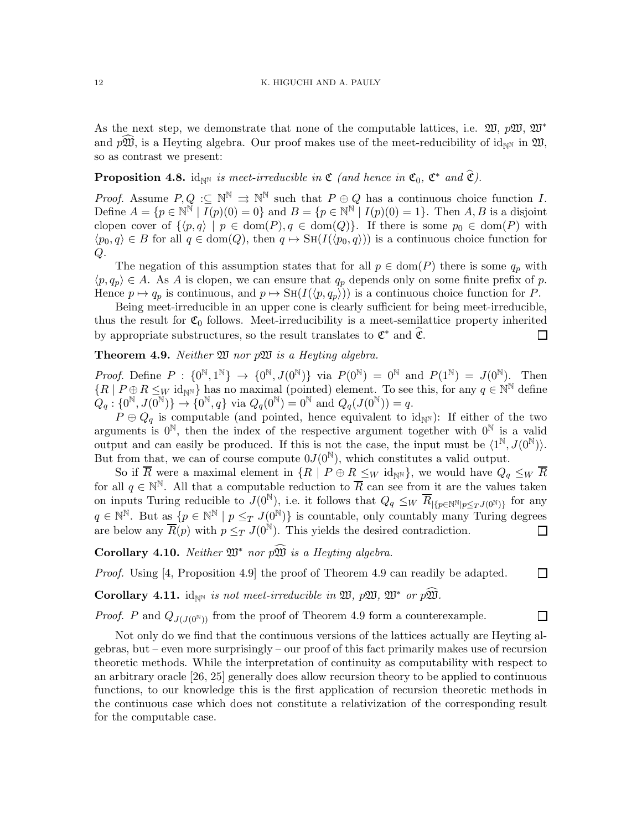As the next step, we demonstrate that none of the computable lattices, i.e.  $\mathfrak{W}, p\mathfrak{W}, \mathfrak{W}^*$ and  $p\mathfrak{W}$ , is a Heyting algebra. Our proof makes use of the meet-reducibility of id<sub>NN</sub> in  $\mathfrak{W}$ , so as contrast we present:

# **Proposition 4.8.** id<sub>NN</sub> is meet-irreducible in  $\mathfrak{C}$  (and hence in  $\mathfrak{C}_0$ ,  $\mathfrak{C}^*$  and  $\widehat{\mathfrak{C}}$ ).

*Proof.* Assume  $P, Q \subseteq \mathbb{N}^{\mathbb{N}} \Rightarrow \mathbb{N}^{\mathbb{N}}$  such that  $P \oplus Q$  has a continuous choice function I. Define  $A = \{p \in \mathbb{N}^{\mathbb{N}} \mid I(p)(0) = 0\}$  and  $B = \{p \in \mathbb{N}^{\mathbb{N}} \mid I(p)(0) = 1\}$ . Then  $A, B$  is a disjoint clopen cover of  $\{\langle p, q \rangle \mid p \in \text{dom}(P), q \in \text{dom}(Q)\}.$  If there is some  $p_0 \in \text{dom}(P)$  with  $\langle p_0, q \rangle \in B$  for all  $q \in \text{dom}(Q)$ , then  $q \mapsto \text{SH}(I(\langle p_0, q \rangle))$  is a continuous choice function for Q.

The negation of this assumption states that for all  $p \in \text{dom}(P)$  there is some  $q_p$  with  $\langle p, q_p \rangle \in A$ . As A is clopen, we can ensure that  $q_p$  depends only on some finite prefix of p. Hence  $p \mapsto q_p$  is continuous, and  $p \mapsto \text{SH}(I(\langle p, q_p \rangle))$  is a continuous choice function for P.

Being meet-irreducible in an upper cone is clearly sufficient for being meet-irreducible, thus the result for  $\mathfrak{C}_0$  follows. Meet-irreducibility is a meet-semilattice property inherited by appropriate substructures, so the result translates to  $\mathfrak{C}^*$  and  $\widehat{\mathfrak{C}}$ .  $\Box$ 

# **Theorem 4.9.** Neither  $\mathfrak{W}$  nor  $p\mathfrak{W}$  is a Heyting algebra.

*Proof.* Define  $P: \{0^{\mathbb{N}}, 1^{\mathbb{N}}\} \rightarrow \{0^{\mathbb{N}}, J(0^{\mathbb{N}})\}$  via  $P(0^{\mathbb{N}}) = 0^{\mathbb{N}}$  and  $P(1^{\mathbb{N}}) = J(0^{\mathbb{N}})$ . Then  ${R | P \oplus R \leq_W \mathrm{id}_{\mathbb{N}^{\mathbb{N}}}}$  has no maximal (pointed) element. To see this, for any  $q \in \mathbb{N}^{\mathbb{N}}$  define  $Q_q: \{0^{\mathbb{N}}, J(0^{\mathbb{N}})\} \to \{0^{\mathbb{N}}, q\}$  via  $Q_q(0^{\mathbb{N}}) = 0^{\mathbb{N}}$  and  $Q_q(J(0^{\mathbb{N}})) = q$ .

 $P \oplus Q_q$  is computable (and pointed, hence equivalent to  $\mathrm{id}_{\mathbb{N}}$ ): If either of the two arguments is  $0^N$ , then the index of the respective argument together with  $0^N$  is a valid output and can easily be produced. If this is not the case, the input must be  $\langle 1^{\mathbb{N}}, J(0^{\mathbb{N}}) \rangle$ . But from that, we can of course compute  $0J(0^{\mathbb{N}})$ , which constitutes a valid output.

So if  $\overline{R}$  were a maximal element in  $\{R \mid P \oplus R \leq_W \mathrm{id}_{\mathbb{N}}\}$ , we would have  $Q_q \leq_W \overline{R}$ for all  $q \in \mathbb{N}^{\mathbb{N}}$ . All that a computable reduction to  $\overline{R}$  can see from it are the values taken on inputs Turing reducible to  $J(0^{\mathbb{N}})$ , i.e. it follows that  $Q_q \leq_W \overline{R}_{\vert \{p \in \mathbb{N}^{\mathbb{N}} | p \leq_T J(0^{\mathbb{N}}) \}}$  for any  $q \in \mathbb{N}^{\mathbb{N}}$ . But as  $\{p \in \mathbb{N}^{\mathbb{N}} \mid p \leq_T J(0^{\mathbb{N}})\}\$ is countable, only countably many Turing degrees are below any  $\overline{R}(p)$  with  $p \leq_T J(0^{\mathbb{N}})$ . This yields the desired contradiction.  $\Box$ 

Corollary 4.10. Neither  $\mathfrak{W}^*$  nor  $p\widehat{\mathfrak{W}}$  is a Heyting algebra.

Proof. Using [4, Proposition 4.9] the proof of Theorem 4.9 can readily be adapted.

 $\Box$ 

 $\Box$ 

Corollary 4.11. id<sub>NN</sub> is not meet-irreducible in  $\mathfrak{W}, p\mathfrak{W}, \mathfrak{W}^*$  or  $p\mathfrak{W}.$ 

*Proof.* P and  $Q_{J(J(0^{\mathbb{N}}))}$  from the proof of Theorem 4.9 form a counterexample.

Not only do we find that the continuous versions of the lattices actually are Heyting algebras, but – even more surprisingly – our proof of this fact primarily makes use of recursion theoretic methods. While the interpretation of continuity as computability with respect to an arbitrary oracle [26, 25] generally does allow recursion theory to be applied to continuous functions, to our knowledge this is the first application of recursion theoretic methods in the continuous case which does not constitute a relativization of the corresponding result for the computable case.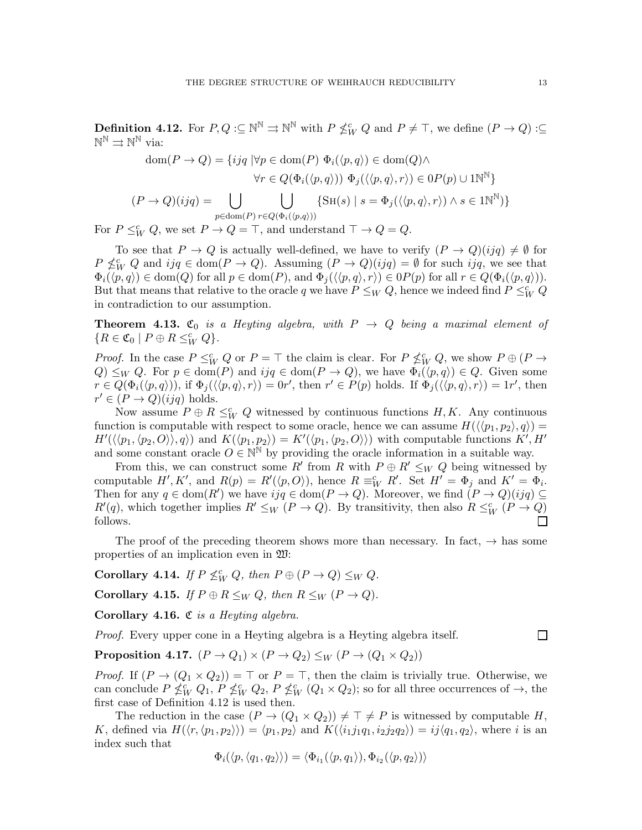**Definition 4.12.** For  $P, Q : \subseteq \mathbb{N}^{\mathbb{N}} \Rightarrow \mathbb{N}^{\mathbb{N}}$  with  $P \nleq^c_W Q$  and  $P \neq \top$ , we define  $(P \to Q) : \subseteq$  $\mathbb{N}^{\mathbb{N}}\rightrightarrows\mathbb{N}^{\mathbb{N}}$  via:

$$
\text{dom}(P \to Q) = \{ ijq \mid \forall p \in \text{dom}(P) \ \Phi_i(\langle p, q \rangle) \in \text{dom}(Q) \land \n\forall r \in Q(\Phi_i(\langle p, q \rangle)) \ \Phi_j(\langle \langle p, q \rangle, r \rangle) \in 0 \, P(p) \cup 1 \mathbb{N}^{\mathbb{N}} \}
$$
\n
$$
(P \to Q)(ijq) = \bigcup_{p \in \text{dom}(P) \ r \in Q(\Phi_i(\langle p, q \rangle))} \{ \text{SH}(s) \mid s = \Phi_j(\langle \langle p, q \rangle, r \rangle) \land s \in 1 \mathbb{N}^{\mathbb{N}} \} \}
$$

For  $P \leq^c_W Q$ , we set  $P \to Q = \top$ , and understand  $\top \to Q = Q$ .

To see that  $P \to Q$  is actually well-defined, we have to verify  $(P \to Q)(ijq) \neq \emptyset$  for  $P \nleq^c_W Q$  and  $ijq \in \text{dom}(P \to Q)$ . Assuming  $(P \to Q)(ijq) = \emptyset$  for such  $ijq$ , we see that  $\Phi_i(\langle p, q \rangle) \in \text{dom}(Q)$  for all  $p \in \text{dom}(P)$ , and  $\Phi_i(\langle p, q \rangle, r) \in \text{OP}(p)$  for all  $r \in Q(\Phi_i(\langle p, q \rangle))$ . But that means that relative to the oracle q we have  $P \leq_W Q$ , hence we indeed find  $P \leq^c_W Q$ in contradiction to our assumption.

**Theorem 4.13.**  $\mathfrak{C}_0$  is a Heyting algebra, with  $P \rightarrow Q$  being a maximal element of  ${R \in \mathfrak{C}_0 \mid P \oplus R \leq^c_W Q}.$ 

*Proof.* In the case  $P \leq^c_W Q$  or  $P = \top$  the claim is clear. For  $P \nleq^c_W Q$ , we show  $P \oplus (P \to Q)$  $Q \leq_W Q$ . For  $p \in \text{dom}(P)$  and  $ijq \in \text{dom}(P \to Q)$ , we have  $\Phi_i(\langle p, q \rangle) \in Q$ . Given some  $r \in Q(\Phi_i(\langle p,q \rangle)),$  if  $\Phi_j(\langle \langle p,q \rangle, r \rangle) = 0r'$ , then  $r' \in P(p)$  holds. If  $\Phi_j(\langle \langle p,q \rangle, r \rangle) = 1r'$ , then  $r' \in (P \to Q)(ijq)$  holds.

Now assume  $P \oplus R \leq^c_W Q$  witnessed by continuous functions  $H, K$ . Any continuous function is computable with respect to some oracle, hence we can assume  $H(\langle \langle p_1, p_2 \rangle, q \rangle) =$  $H'(\langle \langle p_1, \langle p_2, O \rangle \rangle, q \rangle)$  and  $K(\langle p_1, p_2 \rangle) = K'(\langle p_1, \langle p_2, O \rangle)$  with computable functions  $K', H'$ and some constant oracle  $O \in \mathbb{N}^{\mathbb{N}}$  by providing the oracle information in a suitable way.

From this, we can construct some R' from R with  $P \oplus R' \leq_W Q$  being witnessed by computable  $H', K'$ , and  $R(p) = R'(\langle p, O \rangle)$ , hence  $R \equiv_W^c R'$ . Set  $H' = \Phi_j$  and  $K' = \Phi_i$ . Then for any  $q \in \text{dom}(R')$  we have  $ijq \in \text{dom}(P \to Q)$ . Moreover, we find  $(P \to Q)(ijq) \subseteq$  $R'(q)$ , which together implies  $R' \leq_W (P \to Q)$ . By transitivity, then also  $R \leq_W (P \to Q)$ follows.

The proof of the preceding theorem shows more than necessary. In fact,  $\rightarrow$  has some properties of an implication even in W:

Corollary 4.14. If  $P \nleq^c_W Q$ , then  $P \oplus (P \to Q) \leq_W Q$ .

Corollary 4.15. If  $P \oplus R \leq_W Q$ , then  $R \leq_W (P \to Q)$ .

Corollary 4.16.  $\mathfrak C$  is a Heyting algebra.

Proof. Every upper cone in a Heyting algebra is a Heyting algebra itself.

Proposition 4.17.  $(P \rightarrow Q_1) \times (P \rightarrow Q_2) \leq_W (P \rightarrow (Q_1 \times Q_2))$ 

*Proof.* If  $(P \to (Q_1 \times Q_2)) = \top$  or  $P = \top$ , then the claim is trivially true. Otherwise, we can conclude  $P \nleq^c_W Q_1$ ,  $P \nleq^c_W Q_2$ ,  $P \nleq^c_W (Q_1 \times Q_2)$ ; so for all three occurrences of  $\rightarrow$ , the first case of Definition 4.12 is used then.

The reduction in the case  $(P \to (Q_1 \times Q_2)) \neq \top \neq P$  is witnessed by computable H, K, defined via  $H(\langle r,\langle p_1,p_2\rangle\rangle) = \langle p_1,p_2\rangle$  and  $K(\langle i_1 j_1 q_1, i_2 j_2 q_2\rangle) = i j \langle q_1, q_2\rangle$ , where i is an index such that

$$
\Phi_i(\langle p, \langle q_1, q_2 \rangle \rangle) = \langle \Phi_{i_1}(\langle p, q_1 \rangle), \Phi_{i_2}(\langle p, q_2 \rangle) \rangle
$$

 $\Box$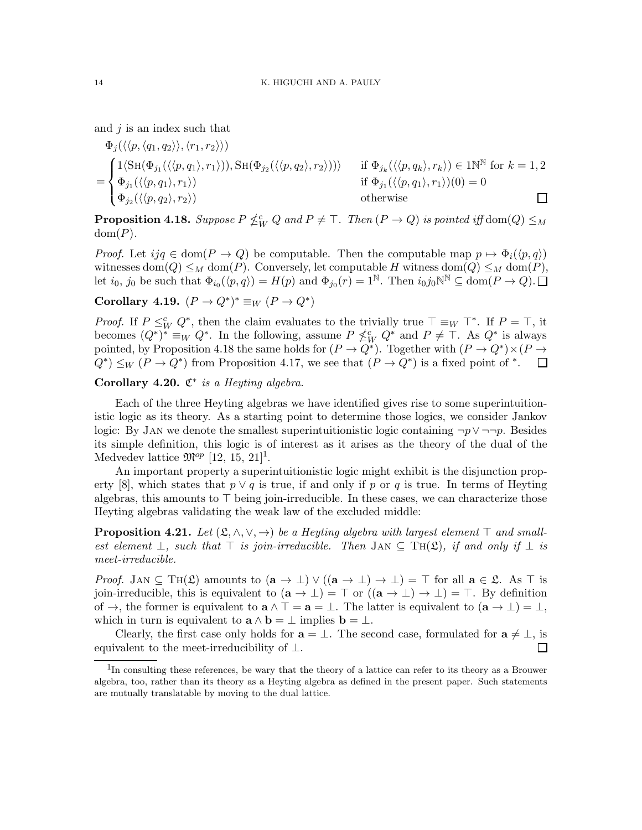and  $j$  is an index such that

$$
\Phi_j(\langle\langle p, \langle q_1, q_2 \rangle \rangle, \langle r_1, r_2 \rangle \rangle) \n= \begin{cases}\n1 \langle \operatorname{SH}(\Phi_{j_1}(\langle\langle p, q_1 \rangle, r_1 \rangle)), \operatorname{SH}(\Phi_{j_2}(\langle\langle p, q_2 \rangle, r_2 \rangle)) \rangle & \text{if } \Phi_{j_k}(\langle\langle p, q_k \rangle, r_k \rangle) \in \operatorname{IN}^{\mathbb{N}} \text{ for } k = 1, 2 \\
\Phi_{j_1}(\langle\langle p, q_1 \rangle, r_1 \rangle) & \text{if } \Phi_{j_1}(\langle\langle p, q_1 \rangle, r_1 \rangle)(0) = 0 \\
\Phi_{j_2}(\langle\langle p, q_2 \rangle, r_2 \rangle) & \text{otherwise}\n\end{cases}
$$

**Proposition 4.18.** Suppose  $P \nleq^c_W Q$  and  $P \neq \top$ . Then  $(P \to Q)$  is pointed iff dom $(Q) \leq_M$  $dom(P)$ .

*Proof.* Let  $ijq \in \text{dom}(P \to Q)$  be computable. Then the computable map  $p \mapsto \Phi_i(\langle p, q \rangle)$ witnesses dom $(Q) \leq_M$  dom $(P)$ . Conversely, let computable H witness dom $(Q) \leq_M$  dom $(P)$ , let  $i_0, j_0$  be such that  $\Phi_{i_0}(\langle p, q \rangle) = H(p)$  and  $\Phi_{j_0}(r) = 1^{\mathbb{N}}$ . Then  $i_0 j_0 \mathbb{N}^{\mathbb{N}} \subseteq \text{dom}(P \to Q)$ .

# Corollary 4.19.  $(P \to Q^*)^* \equiv_W (P \to Q^*)$

*Proof.* If  $P \leq^c_W Q^*$ , then the claim evaluates to the trivially true  $\top \equiv_W \top^*$ . If  $P = \top$ , it becomes  $(Q^*)^* \equiv_W Q^*$ . In the following, assume  $P \nleq^c_W Q^*$  and  $P \neq \top$ . As  $Q^*$  is always pointed, by Proposition 4.18 the same holds for  $(P \to Q^*)$ . Together with  $(P \to Q^*) \times (P \to Q^*)$  $Q^*$   $\leq_W (P \to Q^*)$  from Proposition 4.17, we see that  $(P \to Q^*)$  is a fixed point of  $^*$ .  $\Box$ 

Corollary 4.20.  $\mathfrak{C}^*$  is a Heyting algebra.

Each of the three Heyting algebras we have identified gives rise to some superintuitionistic logic as its theory. As a starting point to determine those logics, we consider Jankov logic: By JAN we denote the smallest superintuitionistic logic containing  $\neg p \lor \neg \neg p$ . Besides its simple definition, this logic is of interest as it arises as the theory of the dual of the Medvedev lattice  $\mathfrak{M}^{op}$  [12, 15, 21]<sup>1</sup>.

An important property a superintuitionistic logic might exhibit is the disjunction property [8], which states that  $p \vee q$  is true, if and only if p or q is true. In terms of Heyting algebras, this amounts to ⊤ being join-irreducible. In these cases, we can characterize those Heyting algebras validating the weak law of the excluded middle:

**Proposition 4.21.** Let  $(\mathfrak{L}, \wedge, \vee, \rightarrow)$  be a Heyting algebra with largest element  $\top$  and smallest element  $\bot$ , such that  $\top$  is join-irreducible. Then JAN  $\subseteq$  TH( $\mathfrak{L}$ ), if and only if  $\bot$  is meet-irreducible.

*Proof.* JAN  $\subseteq$  TH( $\mathfrak{L}$ ) amounts to  $(a \to \bot) \vee ((a \to \bot) \to \bot) = \top$  for all  $a \in \mathfrak{L}$ . As  $\top$  is join-irreducible, this is equivalent to  $(\mathbf{a} \to \bot) = \top$  or  $((\mathbf{a} \to \bot) \to \bot) = \top$ . By definition of  $\rightarrow$ , the former is equivalent to  $\mathbf{a} \wedge \top = \mathbf{a} = \bot$ . The latter is equivalent to  $(\mathbf{a} \rightarrow \bot) = \bot$ , which in turn is equivalent to  $\mathbf{a} \wedge \mathbf{b} = \perp$  implies  $\mathbf{b} = \perp$ .

Clearly, the first case only holds for  $\mathbf{a} = \perp$ . The second case, formulated for  $\mathbf{a} \neq \perp$ , is equivalent to the meet-irreducibility of  $\bot$ . П

<sup>&</sup>lt;sup>1</sup>In consulting these references, be wary that the theory of a lattice can refer to its theory as a Brouwer algebra, too, rather than its theory as a Heyting algebra as defined in the present paper. Such statements are mutually translatable by moving to the dual lattice.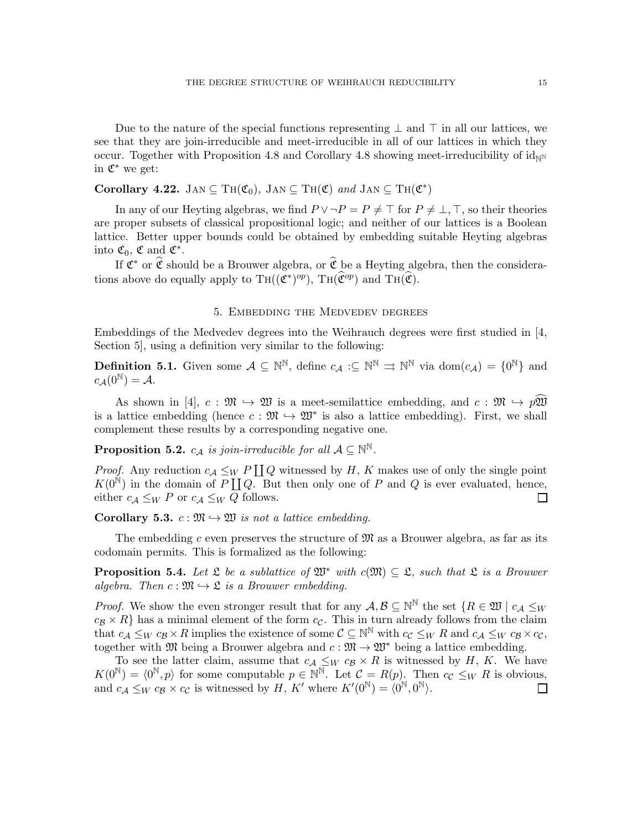Due to the nature of the special functions representing  $\perp$  and  $\top$  in all our lattices, we see that they are join-irreducible and meet-irreducible in all of our lattices in which they occur. Together with Proposition 4.8 and Corollary 4.8 showing meet-irreducibility of  $id_{\mathbb{N}^{\mathbb{N}}}$ in  $\mathfrak{C}^*$  we get:

Corollary 4.22. JAN  $\subseteq TH(\mathfrak{C}_0)$ , JAN  $\subseteq TH(\mathfrak{C})$  and JAN  $\subseteq TH(\mathfrak{C}^*)$ 

In any of our Heyting algebras, we find  $P \vee \neg P = P \neq \top$  for  $P \neq \bot, \top$ , so their theories are proper subsets of classical propositional logic; and neither of our lattices is a Boolean lattice. Better upper bounds could be obtained by embedding suitable Heyting algebras into  $\mathfrak{C}_0$ ,  $\mathfrak{C}$  and  $\mathfrak{C}^*$ .

If  $\mathfrak{C}^*$  or  $\widehat{\mathfrak{C}}$  should be a Brouwer algebra, or  $\widehat{\mathfrak{C}}$  be a Heyting algebra, then the considerations above do equally apply to  $\text{TH}((\mathfrak{C}^*)^{op})$ ,  $\text{TH}(\widehat{\mathfrak{C}}^{op})$  and  $\text{TH}(\widehat{\mathfrak{C}})$ .

#### 5. Embedding the Medvedev degrees

Embeddings of the Medvedev degrees into the Weihrauch degrees were first studied in [4, Section 5], using a definition very similar to the following:

**Definition 5.1.** Given some  $A \subseteq \mathbb{N}^{\mathbb{N}}$ , define  $c_A : \subseteq \mathbb{N}^{\mathbb{N}} \implies \mathbb{N}^{\mathbb{N}}$  via  $dom(c_A) = \{0^{\mathbb{N}}\}$  and  $c_{\mathcal{A}}(0^{\mathbb{N}}) = \mathcal{A}.$ 

As shown in [4],  $c : \mathfrak{M} \hookrightarrow \mathfrak{W}$  is a meet-semilattice embedding, and  $c : \mathfrak{M} \hookrightarrow p\mathfrak{W}$ is a lattice embedding (hence  $c : \mathfrak{M} \hookrightarrow \mathfrak{W}^*$  is also a lattice embedding). First, we shall complement these results by a corresponding negative one.

**Proposition 5.2.**  $c_A$  is join-irreducible for all  $A \subseteq \mathbb{N}^{\mathbb{N}}$ .

*Proof.* Any reduction  $c_A \leq_W P \coprod Q$  witnessed by H, K makes use of only the single point  $K(0^{\mathbb{N}})$  in the domain of P  $\coprod Q$ . But then only one of P and Q is ever evaluated, hence, either  $c_A \leq_W P$  or  $c_A \leq_W Q$  follows.  $\Box$ 

**Corollary 5.3.**  $c : \mathfrak{M} \hookrightarrow \mathfrak{W}$  is not a lattice embedding.

The embedding c even preserves the structure of  $\mathfrak{M}$  as a Brouwer algebra, as far as its codomain permits. This is formalized as the following:

**Proposition 5.4.** Let  $\mathfrak L$  be a sublattice of  $\mathfrak W^*$  with  $c(\mathfrak M) \subseteq \mathfrak L$ , such that  $\mathfrak L$  is a Brouwer algebra. Then  $c: \mathfrak{M} \hookrightarrow \mathfrak{L}$  is a Brouwer embedding.

*Proof.* We show the even stronger result that for any  $A, B \subseteq \mathbb{N}^{\mathbb{N}}$  the set  $\{R \in \mathfrak{W} \mid c_A \leq_W \}$  $c_B \times R$ } has a minimal element of the form  $c_C$ . This in turn already follows from the claim that  $c_{\mathcal{A}} \leq_W c_{\mathcal{B}} \times R$  implies the existence of some  $\mathcal{C} \subseteq \mathbb{N}^{\mathbb{N}}$  with  $c_{\mathcal{C}} \leq_W R$  and  $c_{\mathcal{A}} \leq_W c_{\mathcal{B}} \times c_{\mathcal{C}}$ , together with M being a Brouwer algebra and  $c : \mathfrak{M} \to \mathfrak{W}^*$  being a lattice embedding.

To see the latter claim, assume that  $c_A \leq_W c_B \times R$  is witnessed by H, K. We have  $K(0^{\mathbb{N}}) = \langle 0^{\mathbb{N}}, p \rangle$  for some computable  $p \in \mathbb{N}^{\mathbb{N}}$ . Let  $C = R(p)$ . Then  $c_{\mathcal{C}} \leq_{W} R$  is obvious, and  $c_A \leq_W c_B \times c_C$  is witnessed by H, K' where  $K'(0^{\mathbb{N}}) = \langle 0^{\mathbb{N}}, 0^{\mathbb{N}} \rangle$ .  $\Box$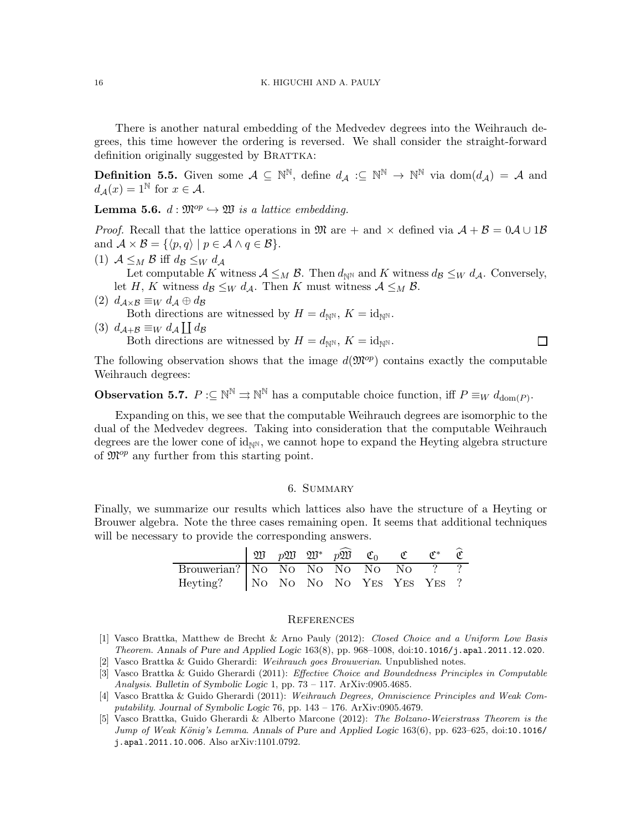There is another natural embedding of the Medvedev degrees into the Weihrauch degrees, this time however the ordering is reversed. We shall consider the straight-forward definition originally suggested by BRATTKA:

**Definition 5.5.** Given some  $A \subseteq \mathbb{N}^{\mathbb{N}}$ , define  $d_A : \subseteq \mathbb{N}^{\mathbb{N}} \to \mathbb{N}^{\mathbb{N}}$  via  $dom(d_A) = A$  and  $d_{\mathcal{A}}(x) = 1^{\mathbb{N}}$  for  $x \in \mathcal{A}$ .

**Lemma 5.6.**  $d : \mathfrak{M}^{op} \hookrightarrow \mathfrak{W}$  is a lattice embedding.

*Proof.* Recall that the lattice operations in  $\mathfrak{M}$  are + and  $\times$  defined via  $\mathcal{A} + \mathcal{B} = 0\mathcal{A} \cup 1\mathcal{B}$ and  $\mathcal{A} \times \mathcal{B} = \{ \langle p, q \rangle \mid p \in \mathcal{A} \land q \in \mathcal{B} \}.$ 

- (1)  $A \leq_M B$  iff  $d_B \leq_W d_A$ Let computable K witness  $A \leq_M B$ . Then  $d_{\mathbb{N}}$  and K witness  $d_{\mathcal{B}} \leq_W d_{\mathcal{A}}$ . Conversely, let H, K witness  $d_{\mathcal{B}} \leq_W d_{\mathcal{A}}$ . Then K must witness  $\mathcal{A} \leq_M \mathcal{B}$ .
- (2)  $d_{\mathcal{A}\times\mathcal{B}} \equiv_W d_{\mathcal{A}} \oplus d_{\mathcal{B}}$ Both directions are witnessed by  $H = d_{\mathbb{N}^{\mathbb{N}}}, K = id_{\mathbb{N}^{\mathbb{N}}}$ .
- (3)  $d_{\mathcal{A}+\mathcal{B}} \equiv_W d_{\mathcal{A}} \coprod d_{\mathcal{B}}$ Both directions are witnessed by  $H = d_{\mathbb{N}^{\mathbb{N}}}, K = id_{\mathbb{N}^{\mathbb{N}}}$ .

The following observation shows that the image  $d(\mathfrak{M}^{op})$  contains exactly the computable Weihrauch degrees:

 $\Box$ 

**Observation 5.7.**  $P \subseteq \mathbb{N}^{\mathbb{N}} \Rightarrow \mathbb{N}^{\mathbb{N}}$  has a computable choice function, iff  $P \equiv_W d_{\text{dom}(P)}$ .

Expanding on this, we see that the computable Weihrauch degrees are isomorphic to the dual of the Medvedev degrees. Taking into consideration that the computable Weihrauch degrees are the lower cone of  $id_{\mathbb{N}^N}$ , we cannot hope to expand the Heyting algebra structure of  $\mathfrak{M}^{op}$  any further from this starting point.

# 6. Summary

Finally, we summarize our results which lattices also have the structure of a Heyting or Brouwer algebra. Note the three cases remaining open. It seems that additional techniques will be necessary to provide the corresponding answers.

|                                      |  |  | $\Box$ p\ $p\mathfrak{W}$ $\mathfrak{W}^*$ $p\mathfrak{W}$ $\mathfrak{C}_0$ $\mathfrak{C}$ | $\mathfrak{C}^*$ $\mathfrak{C}$ |  |
|--------------------------------------|--|--|--------------------------------------------------------------------------------------------|---------------------------------|--|
| Brouwerian? No No No No No No ??     |  |  |                                                                                            |                                 |  |
| Heyting?   No No No No Yes Yes Yes ? |  |  |                                                                                            |                                 |  |

#### **REFERENCES**

- [1] Vasco Brattka, Matthew de Brecht & Arno Pauly (2012): Closed Choice and a Uniform Low Basis Theorem. Annals of Pure and Applied Logic 163(8), pp. 968–1008, doi:10.1016/j.apal.2011.12.020.
- [2] Vasco Brattka & Guido Gherardi: Weihrauch goes Brouwerian. Unpublished notes.
- [3] Vasco Brattka & Guido Gherardi (2011): Effective Choice and Boundedness Principles in Computable Analysis. Bulletin of Symbolic Logic 1, pp. 73 – 117. ArXiv:0905.4685.
- [4] Vasco Brattka & Guido Gherardi (2011): Weihrauch Degrees, Omniscience Principles and Weak Computability. Journal of Symbolic Logic 76, pp. 143 – 176. ArXiv:0905.4679.
- [5] Vasco Brattka, Guido Gherardi & Alberto Marcone (2012): The Bolzano-Weierstrass Theorem is the Jump of Weak König's Lemma. Annals of Pure and Applied Logic 163(6), pp. 623–625, doi:10.1016/ j.apal.2011.10.006. Also arXiv:1101.0792.